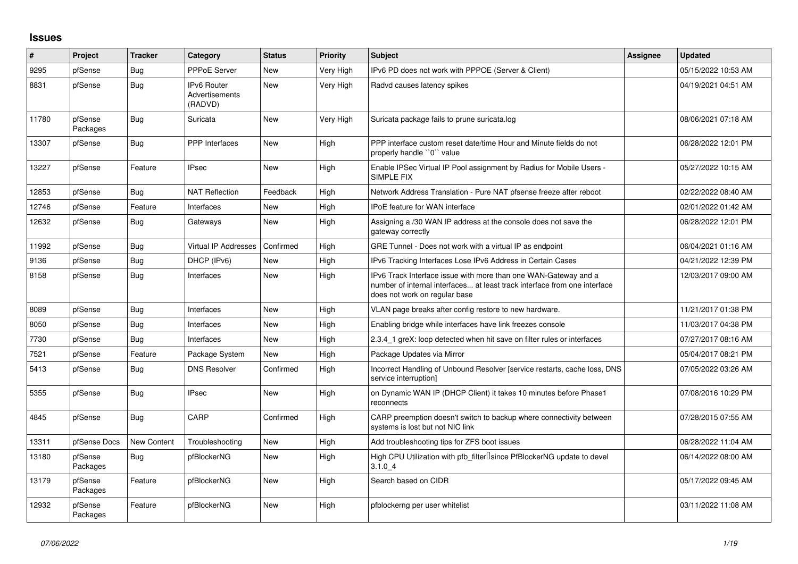## **Issues**

| $\vert$ # | Project             | <b>Tracker</b> | Category                                        | <b>Status</b> | <b>Priority</b> | <b>Subject</b>                                                                                                                                                                | <b>Assignee</b> | <b>Updated</b>      |
|-----------|---------------------|----------------|-------------------------------------------------|---------------|-----------------|-------------------------------------------------------------------------------------------------------------------------------------------------------------------------------|-----------------|---------------------|
| 9295      | pfSense             | Bug            | <b>PPPoE Server</b>                             | <b>New</b>    | Very High       | IPv6 PD does not work with PPPOE (Server & Client)                                                                                                                            |                 | 05/15/2022 10:53 AM |
| 8831      | pfSense             | <b>Bug</b>     | IPv6 Router<br><b>Advertisements</b><br>(RADVD) | <b>New</b>    | Very High       | Radvd causes latency spikes                                                                                                                                                   |                 | 04/19/2021 04:51 AM |
| 11780     | pfSense<br>Packages | <b>Bug</b>     | Suricata                                        | New           | Very High       | Suricata package fails to prune suricata.log                                                                                                                                  |                 | 08/06/2021 07:18 AM |
| 13307     | pfSense             | Bug            | <b>PPP</b> Interfaces                           | <b>New</b>    | High            | PPP interface custom reset date/time Hour and Minute fields do not<br>properly handle "0" value                                                                               |                 | 06/28/2022 12:01 PM |
| 13227     | pfSense             | Feature        | <b>IPsec</b>                                    | <b>New</b>    | High            | Enable IPSec Virtual IP Pool assignment by Radius for Mobile Users -<br>SIMPLE FIX                                                                                            |                 | 05/27/2022 10:15 AM |
| 12853     | pfSense             | <b>Bug</b>     | <b>NAT Reflection</b>                           | Feedback      | High            | Network Address Translation - Pure NAT pfsense freeze after reboot                                                                                                            |                 | 02/22/2022 08:40 AM |
| 12746     | pfSense             | Feature        | Interfaces                                      | New           | High            | IPoE feature for WAN interface                                                                                                                                                |                 | 02/01/2022 01:42 AM |
| 12632     | pfSense             | <b>Bug</b>     | Gateways                                        | New           | High            | Assigning a /30 WAN IP address at the console does not save the<br>gateway correctly                                                                                          |                 | 06/28/2022 12:01 PM |
| 11992     | pfSense             | Bug            | Virtual IP Addresses                            | Confirmed     | High            | GRE Tunnel - Does not work with a virtual IP as endpoint                                                                                                                      |                 | 06/04/2021 01:16 AM |
| 9136      | pfSense             | Bug            | DHCP (IPv6)                                     | New           | High            | IPv6 Tracking Interfaces Lose IPv6 Address in Certain Cases                                                                                                                   |                 | 04/21/2022 12:39 PM |
| 8158      | pfSense             | Bug            | Interfaces                                      | New           | High            | IPv6 Track Interface issue with more than one WAN-Gateway and a<br>number of internal interfaces at least track interface from one interface<br>does not work on regular base |                 | 12/03/2017 09:00 AM |
| 8089      | pfSense             | Bug            | Interfaces                                      | New           | High            | VLAN page breaks after config restore to new hardware.                                                                                                                        |                 | 11/21/2017 01:38 PM |
| 8050      | pfSense             | Bug            | Interfaces                                      | New           | High            | Enabling bridge while interfaces have link freezes console                                                                                                                    |                 | 11/03/2017 04:38 PM |
| 7730      | pfSense             | Bug            | Interfaces                                      | <b>New</b>    | High            | 2.3.4 1 greX: loop detected when hit save on filter rules or interfaces                                                                                                       |                 | 07/27/2017 08:16 AM |
| 7521      | pfSense             | Feature        | Package System                                  | <b>New</b>    | High            | Package Updates via Mirror                                                                                                                                                    |                 | 05/04/2017 08:21 PM |
| 5413      | pfSense             | Bug            | <b>DNS Resolver</b>                             | Confirmed     | High            | Incorrect Handling of Unbound Resolver [service restarts, cache loss, DNS<br>service interruption]                                                                            |                 | 07/05/2022 03:26 AM |
| 5355      | pfSense             | Bug            | <b>IPsec</b>                                    | New           | High            | on Dynamic WAN IP (DHCP Client) it takes 10 minutes before Phase1<br>reconnects                                                                                               |                 | 07/08/2016 10:29 PM |
| 4845      | pfSense             | Bug            | CARP                                            | Confirmed     | High            | CARP preemption doesn't switch to backup where connectivity between<br>systems is lost but not NIC link                                                                       |                 | 07/28/2015 07:55 AM |
| 13311     | pfSense Docs        | New Content    | Troubleshooting                                 | <b>New</b>    | High            | Add troubleshooting tips for ZFS boot issues                                                                                                                                  |                 | 06/28/2022 11:04 AM |
| 13180     | pfSense<br>Packages | Bug            | pfBlockerNG                                     | <b>New</b>    | High            | High CPU Utilization with pfb filter Usince PfBlockerNG update to devel<br>3.1.04                                                                                             |                 | 06/14/2022 08:00 AM |
| 13179     | pfSense<br>Packages | Feature        | pfBlockerNG                                     | New           | High            | Search based on CIDR                                                                                                                                                          |                 | 05/17/2022 09:45 AM |
| 12932     | pfSense<br>Packages | Feature        | pfBlockerNG                                     | <b>New</b>    | High            | pfblockerng per user whitelist                                                                                                                                                |                 | 03/11/2022 11:08 AM |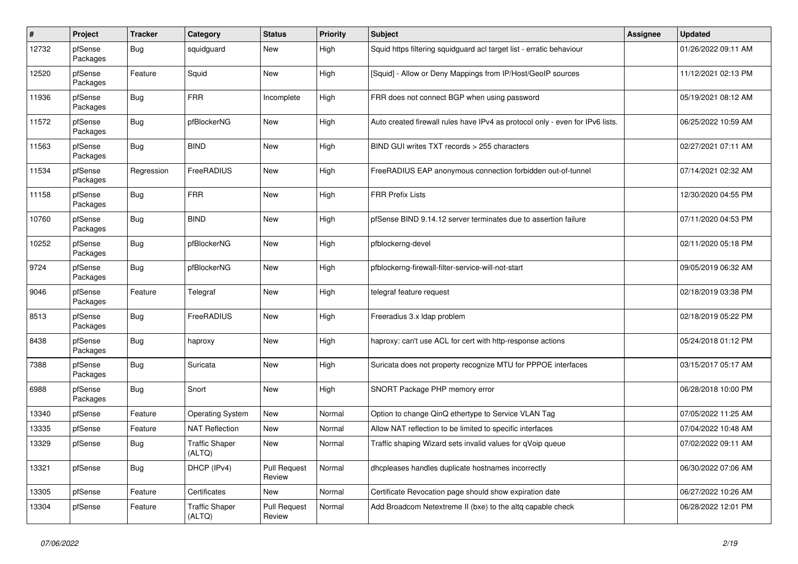| #     | Project             | <b>Tracker</b> | Category                         | <b>Status</b>                 | <b>Priority</b> | Subject                                                                       | <b>Assignee</b> | <b>Updated</b>      |
|-------|---------------------|----------------|----------------------------------|-------------------------------|-----------------|-------------------------------------------------------------------------------|-----------------|---------------------|
| 12732 | pfSense<br>Packages | Bug            | squidguard                       | New                           | High            | Squid https filtering squidguard acl target list - erratic behaviour          |                 | 01/26/2022 09:11 AM |
| 12520 | pfSense<br>Packages | Feature        | Squid                            | New                           | High            | [Squid] - Allow or Deny Mappings from IP/Host/GeoIP sources                   |                 | 11/12/2021 02:13 PM |
| 11936 | pfSense<br>Packages | Bug            | <b>FRR</b>                       | Incomplete                    | High            | FRR does not connect BGP when using password                                  |                 | 05/19/2021 08:12 AM |
| 11572 | pfSense<br>Packages | Bug            | pfBlockerNG                      | New                           | High            | Auto created firewall rules have IPv4 as protocol only - even for IPv6 lists. |                 | 06/25/2022 10:59 AM |
| 11563 | pfSense<br>Packages | Bug            | <b>BIND</b>                      | New                           | High            | BIND GUI writes TXT records > 255 characters                                  |                 | 02/27/2021 07:11 AM |
| 11534 | pfSense<br>Packages | Regression     | FreeRADIUS                       | New                           | High            | FreeRADIUS EAP anonymous connection forbidden out-of-tunnel                   |                 | 07/14/2021 02:32 AM |
| 11158 | pfSense<br>Packages | Bug            | <b>FRR</b>                       | New                           | High            | <b>FRR Prefix Lists</b>                                                       |                 | 12/30/2020 04:55 PM |
| 10760 | pfSense<br>Packages | Bug            | <b>BIND</b>                      | New                           | High            | pfSense BIND 9.14.12 server terminates due to assertion failure               |                 | 07/11/2020 04:53 PM |
| 10252 | pfSense<br>Packages | Bug            | pfBlockerNG                      | New                           | High            | pfblockerng-devel                                                             |                 | 02/11/2020 05:18 PM |
| 9724  | pfSense<br>Packages | Bug            | pfBlockerNG                      | New                           | High            | pfblockerng-firewall-filter-service-will-not-start                            |                 | 09/05/2019 06:32 AM |
| 9046  | pfSense<br>Packages | Feature        | Telegraf                         | New                           | High            | telegraf feature request                                                      |                 | 02/18/2019 03:38 PM |
| 8513  | pfSense<br>Packages | Bug            | FreeRADIUS                       | New                           | High            | Freeradius 3.x Idap problem                                                   |                 | 02/18/2019 05:22 PM |
| 8438  | pfSense<br>Packages | Bug            | haproxy                          | New                           | High            | haproxy: can't use ACL for cert with http-response actions                    |                 | 05/24/2018 01:12 PM |
| 7388  | pfSense<br>Packages | <b>Bug</b>     | Suricata                         | New                           | High            | Suricata does not property recognize MTU for PPPOE interfaces                 |                 | 03/15/2017 05:17 AM |
| 6988  | pfSense<br>Packages | Bug            | Snort                            | New                           | High            | SNORT Package PHP memory error                                                |                 | 06/28/2018 10:00 PM |
| 13340 | pfSense             | Feature        | <b>Operating System</b>          | New                           | Normal          | Option to change QinQ ethertype to Service VLAN Tag                           |                 | 07/05/2022 11:25 AM |
| 13335 | pfSense             | Feature        | <b>NAT Reflection</b>            | New                           | Normal          | Allow NAT reflection to be limited to specific interfaces                     |                 | 07/04/2022 10:48 AM |
| 13329 | pfSense             | Bug            | <b>Traffic Shaper</b><br>(ALI Q) | New                           | Normal          | Traffic shaping Wizard sets invalid values for qVoip queue                    |                 | 07/02/2022 09:11 AM |
| 13321 | pfSense             | <b>Bug</b>     | DHCP (IPv4)                      | <b>Pull Request</b><br>Review | Normal          | dhcpleases handles duplicate hostnames incorrectly                            |                 | 06/30/2022 07:06 AM |
| 13305 | pfSense             | Feature        | Certificates                     | New                           | Normal          | Certificate Revocation page should show expiration date                       |                 | 06/27/2022 10:26 AM |
| 13304 | pfSense             | Feature        | <b>Traffic Shaper</b><br>(ALTQ)  | <b>Pull Request</b><br>Review | Normal          | Add Broadcom Netextreme II (bxe) to the altq capable check                    |                 | 06/28/2022 12:01 PM |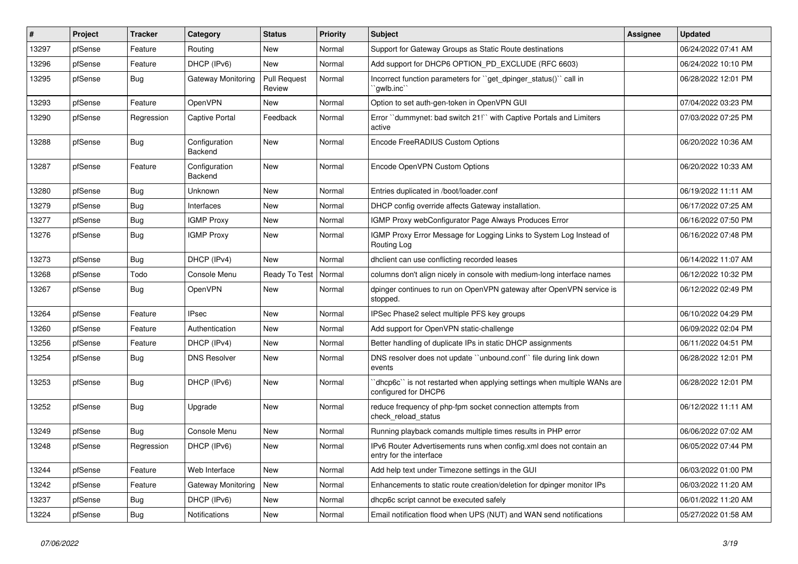| #     | Project | <b>Tracker</b> | Category                 | <b>Status</b>                 | <b>Priority</b> | <b>Subject</b>                                                                                   | <b>Assignee</b> | <b>Updated</b>      |
|-------|---------|----------------|--------------------------|-------------------------------|-----------------|--------------------------------------------------------------------------------------------------|-----------------|---------------------|
| 13297 | pfSense | Feature        | Routing                  | New                           | Normal          | Support for Gateway Groups as Static Route destinations                                          |                 | 06/24/2022 07:41 AM |
| 13296 | pfSense | Feature        | DHCP (IPv6)              | <b>New</b>                    | Normal          | Add support for DHCP6 OPTION_PD_EXCLUDE (RFC 6603)                                               |                 | 06/24/2022 10:10 PM |
| 13295 | pfSense | Bug            | Gateway Monitoring       | <b>Pull Request</b><br>Review | Normal          | Incorrect function parameters for "get_dpinger_status()" call in<br>`qwlb.inc``                  |                 | 06/28/2022 12:01 PM |
| 13293 | pfSense | Feature        | <b>OpenVPN</b>           | <b>New</b>                    | Normal          | Option to set auth-gen-token in OpenVPN GUI                                                      |                 | 07/04/2022 03:23 PM |
| 13290 | pfSense | Regression     | <b>Captive Portal</b>    | Feedback                      | Normal          | Error "dummynet: bad switch 21!" with Captive Portals and Limiters<br>active                     |                 | 07/03/2022 07:25 PM |
| 13288 | pfSense | Bug            | Configuration<br>Backend | <b>New</b>                    | Normal          | Encode FreeRADIUS Custom Options                                                                 |                 | 06/20/2022 10:36 AM |
| 13287 | pfSense | Feature        | Configuration<br>Backend | <b>New</b>                    | Normal          | Encode OpenVPN Custom Options                                                                    |                 | 06/20/2022 10:33 AM |
| 13280 | pfSense | Bug            | Unknown                  | <b>New</b>                    | Normal          | Entries duplicated in /boot/loader.conf                                                          |                 | 06/19/2022 11:11 AM |
| 13279 | pfSense | Bug            | Interfaces               | New                           | Normal          | DHCP config override affects Gateway installation.                                               |                 | 06/17/2022 07:25 AM |
| 13277 | pfSense | Bug            | <b>IGMP Proxy</b>        | New                           | Normal          | IGMP Proxy webConfigurator Page Always Produces Error                                            |                 | 06/16/2022 07:50 PM |
| 13276 | pfSense | Bug            | <b>IGMP Proxy</b>        | New                           | Normal          | IGMP Proxy Error Message for Logging Links to System Log Instead of<br>Routing Log               |                 | 06/16/2022 07:48 PM |
| 13273 | pfSense | Bug            | DHCP (IPv4)              | <b>New</b>                    | Normal          | dhclient can use conflicting recorded leases                                                     |                 | 06/14/2022 11:07 AM |
| 13268 | pfSense | Todo           | Console Menu             | Ready To Test                 | Normal          | columns don't align nicely in console with medium-long interface names                           |                 | 06/12/2022 10:32 PM |
| 13267 | pfSense | <b>Bug</b>     | <b>OpenVPN</b>           | New                           | Normal          | dpinger continues to run on OpenVPN gateway after OpenVPN service is<br>stopped.                 |                 | 06/12/2022 02:49 PM |
| 13264 | pfSense | Feature        | <b>IPsec</b>             | <b>New</b>                    | Normal          | IPSec Phase2 select multiple PFS key groups                                                      |                 | 06/10/2022 04:29 PM |
| 13260 | pfSense | Feature        | Authentication           | New                           | Normal          | Add support for OpenVPN static-challenge                                                         |                 | 06/09/2022 02:04 PM |
| 13256 | pfSense | Feature        | DHCP (IPv4)              | New                           | Normal          | Better handling of duplicate IPs in static DHCP assignments                                      |                 | 06/11/2022 04:51 PM |
| 13254 | pfSense | Bug            | <b>DNS Resolver</b>      | <b>New</b>                    | Normal          | DNS resolver does not update "unbound.conf" file during link down<br>events                      |                 | 06/28/2022 12:01 PM |
| 13253 | pfSense | Bug            | DHCP (IPv6)              | <b>New</b>                    | Normal          | 'dhcp6c'' is not restarted when applying settings when multiple WANs are<br>configured for DHCP6 |                 | 06/28/2022 12:01 PM |
| 13252 | pfSense | Bug            | Upgrade                  | <b>New</b>                    | Normal          | reduce frequency of php-fpm socket connection attempts from<br>check reload status               |                 | 06/12/2022 11:11 AM |
| 13249 | pfSense | Bug            | Console Menu             | New                           | Normal          | Running playback comands multiple times results in PHP error                                     |                 | 06/06/2022 07:02 AM |
| 13248 | pfSense | Regression     | DHCP (IPv6)              | New                           | Normal          | IPv6 Router Advertisements runs when config.xml does not contain an<br>entry for the interface   |                 | 06/05/2022 07:44 PM |
| 13244 | pfSense | Feature        | Web Interface            | New                           | Normal          | Add help text under Timezone settings in the GUI                                                 |                 | 06/03/2022 01:00 PM |
| 13242 | pfSense | Feature        | Gateway Monitoring       | New                           | Normal          | Enhancements to static route creation/deletion for dpinger monitor IPs                           |                 | 06/03/2022 11:20 AM |
| 13237 | pfSense | <b>Bug</b>     | DHCP (IPv6)              | New                           | Normal          | dhcp6c script cannot be executed safely                                                          |                 | 06/01/2022 11:20 AM |
| 13224 | pfSense | Bug            | Notifications            | New                           | Normal          | Email notification flood when UPS (NUT) and WAN send notifications                               |                 | 05/27/2022 01:58 AM |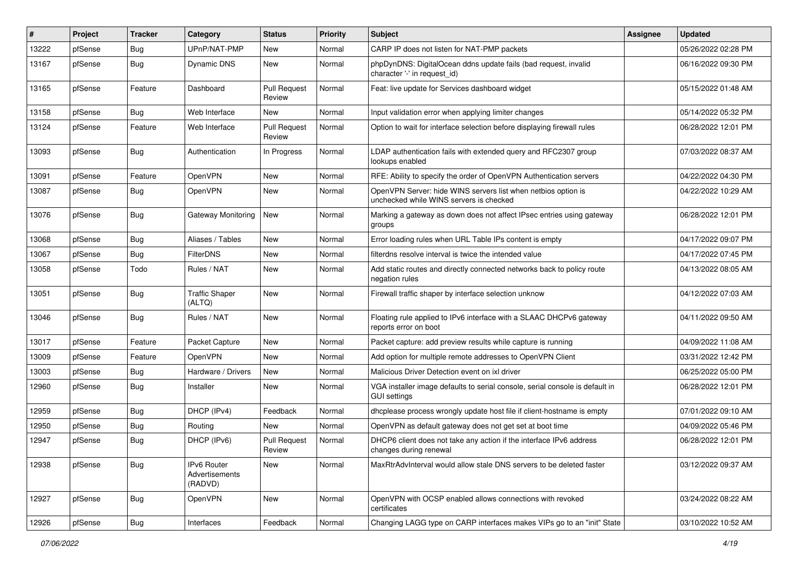| #     | Project | <b>Tracker</b> | Category                                        | <b>Status</b>                 | <b>Priority</b> | <b>Subject</b>                                                                                           | <b>Assignee</b> | <b>Updated</b>      |
|-------|---------|----------------|-------------------------------------------------|-------------------------------|-----------------|----------------------------------------------------------------------------------------------------------|-----------------|---------------------|
| 13222 | pfSense | Bug            | UPnP/NAT-PMP                                    | New                           | Normal          | CARP IP does not listen for NAT-PMP packets                                                              |                 | 05/26/2022 02:28 PM |
| 13167 | pfSense | Bug            | Dynamic DNS                                     | New                           | Normal          | phpDynDNS: DigitalOcean ddns update fails (bad request, invalid<br>character '-' in request id)          |                 | 06/16/2022 09:30 PM |
| 13165 | pfSense | Feature        | Dashboard                                       | <b>Pull Request</b><br>Review | Normal          | Feat: live update for Services dashboard widget                                                          |                 | 05/15/2022 01:48 AM |
| 13158 | pfSense | Bug            | Web Interface                                   | New                           | Normal          | Input validation error when applying limiter changes                                                     |                 | 05/14/2022 05:32 PM |
| 13124 | pfSense | Feature        | Web Interface                                   | <b>Pull Request</b><br>Review | Normal          | Option to wait for interface selection before displaying firewall rules                                  |                 | 06/28/2022 12:01 PM |
| 13093 | pfSense | Bug            | Authentication                                  | In Progress                   | Normal          | LDAP authentication fails with extended query and RFC2307 group<br>lookups enabled                       |                 | 07/03/2022 08:37 AM |
| 13091 | pfSense | Feature        | OpenVPN                                         | <b>New</b>                    | Normal          | RFE: Ability to specify the order of OpenVPN Authentication servers                                      |                 | 04/22/2022 04:30 PM |
| 13087 | pfSense | Bug            | OpenVPN                                         | New                           | Normal          | OpenVPN Server: hide WINS servers list when netbios option is<br>unchecked while WINS servers is checked |                 | 04/22/2022 10:29 AM |
| 13076 | pfSense | Bug            | Gateway Monitoring                              | <b>New</b>                    | Normal          | Marking a gateway as down does not affect IPsec entries using gateway<br>groups                          |                 | 06/28/2022 12:01 PM |
| 13068 | pfSense | Bug            | Aliases / Tables                                | New                           | Normal          | Error loading rules when URL Table IPs content is empty                                                  |                 | 04/17/2022 09:07 PM |
| 13067 | pfSense | Bug            | <b>FilterDNS</b>                                | New                           | Normal          | filterdns resolve interval is twice the intended value                                                   |                 | 04/17/2022 07:45 PM |
| 13058 | pfSense | Todo           | Rules / NAT                                     | New                           | Normal          | Add static routes and directly connected networks back to policy route<br>negation rules                 |                 | 04/13/2022 08:05 AM |
| 13051 | pfSense | Bug            | <b>Traffic Shaper</b><br>(ALTQ)                 | New                           | Normal          | Firewall traffic shaper by interface selection unknow                                                    |                 | 04/12/2022 07:03 AM |
| 13046 | pfSense | <b>Bug</b>     | Rules / NAT                                     | New                           | Normal          | Floating rule applied to IPv6 interface with a SLAAC DHCPv6 gateway<br>reports error on boot             |                 | 04/11/2022 09:50 AM |
| 13017 | pfSense | Feature        | Packet Capture                                  | New                           | Normal          | Packet capture: add preview results while capture is running                                             |                 | 04/09/2022 11:08 AM |
| 13009 | pfSense | Feature        | OpenVPN                                         | New                           | Normal          | Add option for multiple remote addresses to OpenVPN Client                                               |                 | 03/31/2022 12:42 PM |
| 13003 | ofSense | <b>Bug</b>     | Hardware / Drivers                              | New                           | Normal          | Malicious Driver Detection event on ixl driver                                                           |                 | 06/25/2022 05:00 PM |
| 12960 | pfSense | <b>Bug</b>     | Installer                                       | New                           | Normal          | VGA installer image defaults to serial console, serial console is default in<br><b>GUI settings</b>      |                 | 06/28/2022 12:01 PM |
| 12959 | pfSense | Bug            | DHCP (IPv4)                                     | Feedback                      | Normal          | dhcplease process wrongly update host file if client-hostname is empty                                   |                 | 07/01/2022 09:10 AM |
| 12950 | pfSense | <b>Bug</b>     | Routing                                         | <b>New</b>                    | Normal          | OpenVPN as default gateway does not get set at boot time                                                 |                 | 04/09/2022 05:46 PM |
| 12947 | pfSense | <b>Bug</b>     | DHCP (IPv6)                                     | <b>Pull Request</b><br>Review | Normal          | DHCP6 client does not take any action if the interface IPv6 address<br>changes during renewal            |                 | 06/28/2022 12:01 PM |
| 12938 | pfSense | <b>Bug</b>     | <b>IPv6 Router</b><br>Advertisements<br>(RADVD) | New                           | Normal          | MaxRtrAdvInterval would allow stale DNS servers to be deleted faster                                     |                 | 03/12/2022 09:37 AM |
| 12927 | pfSense | <b>Bug</b>     | <b>OpenVPN</b>                                  | New                           | Normal          | OpenVPN with OCSP enabled allows connections with revoked<br>certificates                                |                 | 03/24/2022 08:22 AM |
| 12926 | pfSense | <b>Bug</b>     | Interfaces                                      | Feedback                      | Normal          | Changing LAGG type on CARP interfaces makes VIPs go to an "init" State                                   |                 | 03/10/2022 10:52 AM |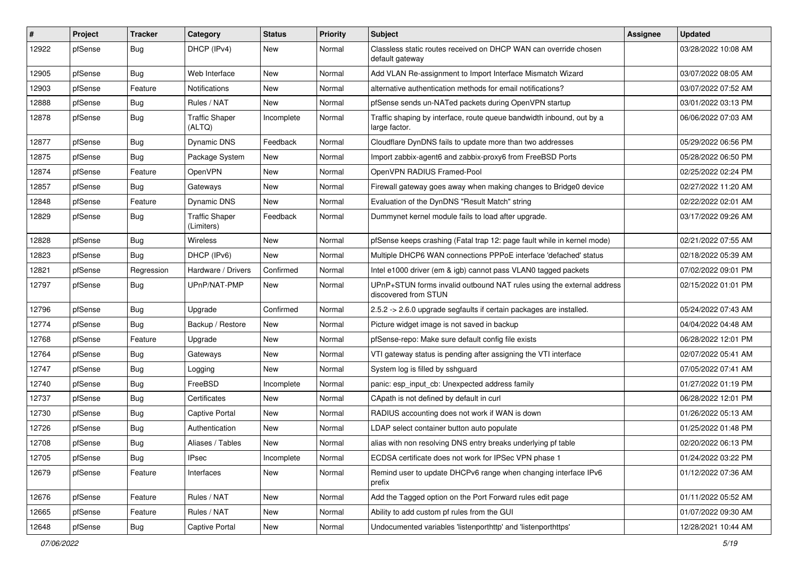| $\pmb{\#}$ | Project | <b>Tracker</b> | Category                            | <b>Status</b> | <b>Priority</b> | Subject                                                                                       | <b>Assignee</b> | <b>Updated</b>      |
|------------|---------|----------------|-------------------------------------|---------------|-----------------|-----------------------------------------------------------------------------------------------|-----------------|---------------------|
| 12922      | pfSense | Bug            | DHCP (IPv4)                         | New           | Normal          | Classless static routes received on DHCP WAN can override chosen<br>default gateway           |                 | 03/28/2022 10:08 AM |
| 12905      | pfSense | Bug            | Web Interface                       | New           | Normal          | Add VLAN Re-assignment to Import Interface Mismatch Wizard                                    |                 | 03/07/2022 08:05 AM |
| 12903      | pfSense | Feature        | <b>Notifications</b>                | New           | Normal          | alternative authentication methods for email notifications?                                   |                 | 03/07/2022 07:52 AM |
| 12888      | pfSense | Bug            | Rules / NAT                         | <b>New</b>    | Normal          | pfSense sends un-NATed packets during OpenVPN startup                                         |                 | 03/01/2022 03:13 PM |
| 12878      | pfSense | Bug            | Traffic Shaper<br>(ALTQ)            | Incomplete    | Normal          | Traffic shaping by interface, route queue bandwidth inbound, out by a<br>large factor.        |                 | 06/06/2022 07:03 AM |
| 12877      | pfSense | <b>Bug</b>     | Dynamic DNS                         | Feedback      | Normal          | Cloudflare DynDNS fails to update more than two addresses                                     |                 | 05/29/2022 06:56 PM |
| 12875      | pfSense | Bug            | Package System                      | New           | Normal          | Import zabbix-agent6 and zabbix-proxy6 from FreeBSD Ports                                     |                 | 05/28/2022 06:50 PM |
| 12874      | pfSense | Feature        | OpenVPN                             | <b>New</b>    | Normal          | OpenVPN RADIUS Framed-Pool                                                                    |                 | 02/25/2022 02:24 PM |
| 12857      | pfSense | Bug            | Gateways                            | New           | Normal          | Firewall gateway goes away when making changes to Bridge0 device                              |                 | 02/27/2022 11:20 AM |
| 12848      | pfSense | Feature        | Dynamic DNS                         | New           | Normal          | Evaluation of the DynDNS "Result Match" string                                                |                 | 02/22/2022 02:01 AM |
| 12829      | pfSense | Bug            | <b>Traffic Shaper</b><br>(Limiters) | Feedback      | Normal          | Dummynet kernel module fails to load after upgrade.                                           |                 | 03/17/2022 09:26 AM |
| 12828      | pfSense | Bug            | <b>Wireless</b>                     | <b>New</b>    | Normal          | pfSense keeps crashing (Fatal trap 12: page fault while in kernel mode)                       |                 | 02/21/2022 07:55 AM |
| 12823      | pfSense | Bug            | DHCP (IPv6)                         | New           | Normal          | Multiple DHCP6 WAN connections PPPoE interface 'defached' status                              |                 | 02/18/2022 05:39 AM |
| 12821      | pfSense | Regression     | Hardware / Drivers                  | Confirmed     | Normal          | Intel e1000 driver (em & igb) cannot pass VLAN0 tagged packets                                |                 | 07/02/2022 09:01 PM |
| 12797      | pfSense | Bug            | UPnP/NAT-PMP                        | New           | Normal          | UPnP+STUN forms invalid outbound NAT rules using the external address<br>discovered from STUN |                 | 02/15/2022 01:01 PM |
| 12796      | pfSense | Bug            | Upgrade                             | Confirmed     | Normal          | 2.5.2 -> 2.6.0 upgrade segfaults if certain packages are installed.                           |                 | 05/24/2022 07:43 AM |
| 12774      | pfSense | Bug            | Backup / Restore                    | <b>New</b>    | Normal          | Picture widget image is not saved in backup                                                   |                 | 04/04/2022 04:48 AM |
| 12768      | pfSense | Feature        | Upgrade                             | New           | Normal          | pfSense-repo: Make sure default config file exists                                            |                 | 06/28/2022 12:01 PM |
| 12764      | pfSense | Bug            | Gateways                            | New           | Normal          | VTI gateway status is pending after assigning the VTI interface                               |                 | 02/07/2022 05:41 AM |
| 12747      | pfSense | <b>Bug</b>     | Logging                             | New           | Normal          | System log is filled by sshguard                                                              |                 | 07/05/2022 07:41 AM |
| 12740      | pfSense | <b>Bug</b>     | FreeBSD                             | Incomplete    | Normal          | panic: esp_input_cb: Unexpected address family                                                |                 | 01/27/2022 01:19 PM |
| 12737      | pfSense | Bug            | Certificates                        | New           | Normal          | CApath is not defined by default in curl                                                      |                 | 06/28/2022 12:01 PM |
| 12730      | pfSense | Bug            | Captive Portal                      | New           | Normal          | RADIUS accounting does not work if WAN is down                                                |                 | 01/26/2022 05:13 AM |
| 12726      | pfSense | <b>Bug</b>     | Authentication                      | New           | Normal          | LDAP select container button auto populate                                                    |                 | 01/25/2022 01:48 PM |
| 12708      | pfSense | <b>Bug</b>     | Aliases / Tables                    | New           | Normal          | alias with non resolving DNS entry breaks underlying pf table                                 |                 | 02/20/2022 06:13 PM |
| 12705      | pfSense | <b>Bug</b>     | <b>IPsec</b>                        | Incomplete    | Normal          | ECDSA certificate does not work for IPSec VPN phase 1                                         |                 | 01/24/2022 03:22 PM |
| 12679      | pfSense | Feature        | Interfaces                          | New           | Normal          | Remind user to update DHCPv6 range when changing interface IPv6<br>prefix                     |                 | 01/12/2022 07:36 AM |
| 12676      | pfSense | Feature        | Rules / NAT                         | New           | Normal          | Add the Tagged option on the Port Forward rules edit page                                     |                 | 01/11/2022 05:52 AM |
| 12665      | pfSense | Feature        | Rules / NAT                         | New           | Normal          | Ability to add custom pf rules from the GUI                                                   |                 | 01/07/2022 09:30 AM |
| 12648      | pfSense | Bug            | Captive Portal                      | New           | Normal          | Undocumented variables 'listenporthttp' and 'listenporthttps'                                 |                 | 12/28/2021 10:44 AM |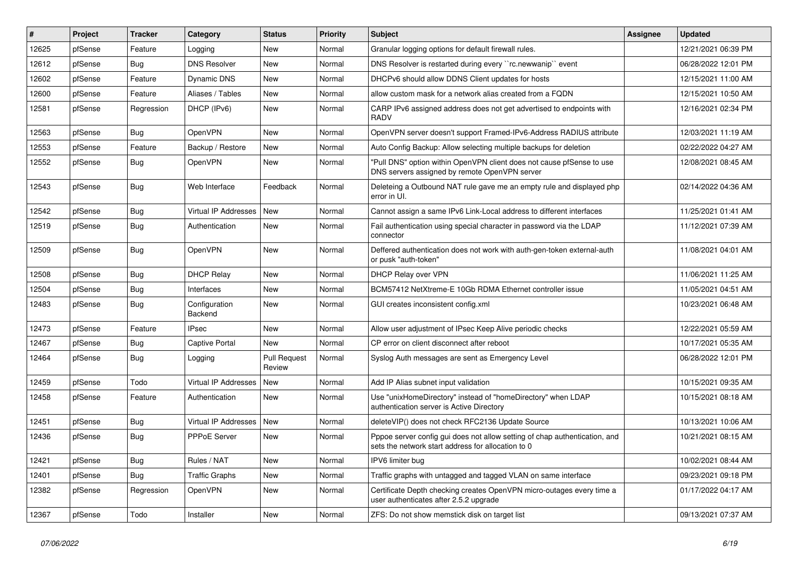| #     | Project | Tracker    | Category                    | <b>Status</b>                 | <b>Priority</b> | <b>Subject</b>                                                                                                                   | <b>Assignee</b> | <b>Updated</b>      |
|-------|---------|------------|-----------------------------|-------------------------------|-----------------|----------------------------------------------------------------------------------------------------------------------------------|-----------------|---------------------|
| 12625 | pfSense | Feature    | Logging                     | New                           | Normal          | Granular logging options for default firewall rules.                                                                             |                 | 12/21/2021 06:39 PM |
| 12612 | pfSense | <b>Bug</b> | <b>DNS Resolver</b>         | New                           | Normal          | DNS Resolver is restarted during every "rc.newwanip" event                                                                       |                 | 06/28/2022 12:01 PM |
| 12602 | pfSense | Feature    | Dynamic DNS                 | New                           | Normal          | DHCPv6 should allow DDNS Client updates for hosts                                                                                |                 | 12/15/2021 11:00 AM |
| 12600 | pfSense | Feature    | Aliases / Tables            | New                           | Normal          | allow custom mask for a network alias created from a FQDN                                                                        |                 | 12/15/2021 10:50 AM |
| 12581 | pfSense | Regression | DHCP (IPv6)                 | New                           | Normal          | CARP IPv6 assigned address does not get advertised to endpoints with<br><b>RADV</b>                                              |                 | 12/16/2021 02:34 PM |
| 12563 | pfSense | Bug        | <b>OpenVPN</b>              | New                           | Normal          | OpenVPN server doesn't support Framed-IPv6-Address RADIUS attribute                                                              |                 | 12/03/2021 11:19 AM |
| 12553 | pfSense | Feature    | Backup / Restore            | New                           | Normal          | Auto Config Backup: Allow selecting multiple backups for deletion                                                                |                 | 02/22/2022 04:27 AM |
| 12552 | pfSense | Bug        | <b>OpenVPN</b>              | New                           | Normal          | "Pull DNS" option within OpenVPN client does not cause pfSense to use<br>DNS servers assigned by remote OpenVPN server           |                 | 12/08/2021 08:45 AM |
| 12543 | pfSense | Bug        | Web Interface               | Feedback                      | Normal          | Deleteing a Outbound NAT rule gave me an empty rule and displayed php<br>error in UI.                                            |                 | 02/14/2022 04:36 AM |
| 12542 | pfSense | <b>Bug</b> | Virtual IP Addresses        | New                           | Normal          | Cannot assign a same IPv6 Link-Local address to different interfaces                                                             |                 | 11/25/2021 01:41 AM |
| 12519 | pfSense | Bug        | Authentication              | New                           | Normal          | Fail authentication using special character in password via the LDAP<br>connector                                                |                 | 11/12/2021 07:39 AM |
| 12509 | pfSense | <b>Bug</b> | OpenVPN                     | <b>New</b>                    | Normal          | Deffered authentication does not work with auth-gen-token external-auth<br>or pusk "auth-token"                                  |                 | 11/08/2021 04:01 AM |
| 12508 | pfSense | Bug        | <b>DHCP Relay</b>           | New                           | Normal          | DHCP Relay over VPN                                                                                                              |                 | 11/06/2021 11:25 AM |
| 12504 | pfSense | Bug        | Interfaces                  | <b>New</b>                    | Normal          | BCM57412 NetXtreme-E 10Gb RDMA Ethernet controller issue                                                                         |                 | 11/05/2021 04:51 AM |
| 12483 | pfSense | <b>Bug</b> | Configuration<br>Backend    | New                           | Normal          | GUI creates inconsistent config.xml                                                                                              |                 | 10/23/2021 06:48 AM |
| 12473 | pfSense | Feature    | <b>IPsec</b>                | New                           | Normal          | Allow user adjustment of IPsec Keep Alive periodic checks                                                                        |                 | 12/22/2021 05:59 AM |
| 12467 | pfSense | Bug        | <b>Captive Portal</b>       | <b>New</b>                    | Normal          | CP error on client disconnect after reboot                                                                                       |                 | 10/17/2021 05:35 AM |
| 12464 | pfSense | Bug        | Logging                     | <b>Pull Request</b><br>Review | Normal          | Syslog Auth messages are sent as Emergency Level                                                                                 |                 | 06/28/2022 12:01 PM |
| 12459 | pfSense | Todo       | <b>Virtual IP Addresses</b> | <b>New</b>                    | Normal          | Add IP Alias subnet input validation                                                                                             |                 | 10/15/2021 09:35 AM |
| 12458 | pfSense | Feature    | Authentication              | New                           | Normal          | Use "unixHomeDirectory" instead of "homeDirectory" when LDAP<br>authentication server is Active Directory                        |                 | 10/15/2021 08:18 AM |
| 12451 | pfSense | <b>Bug</b> | Virtual IP Addresses        | New                           | Normal          | deleteVIP() does not check RFC2136 Update Source                                                                                 |                 | 10/13/2021 10:06 AM |
| 12436 | pfSense | Bug        | PPPoE Server                | New                           | Normal          | Pppoe server config gui does not allow setting of chap authentication, and<br>sets the network start address for allocation to 0 |                 | 10/21/2021 08:15 AM |
| 12421 | pfSense | Bug        | Rules / NAT                 | New                           | Normal          | IPV6 limiter bug                                                                                                                 |                 | 10/02/2021 08:44 AM |
| 12401 | pfSense | Bug        | <b>Traffic Graphs</b>       | New                           | Normal          | Traffic graphs with untagged and tagged VLAN on same interface                                                                   |                 | 09/23/2021 09:18 PM |
| 12382 | pfSense | Regression | OpenVPN                     | New                           | Normal          | Certificate Depth checking creates OpenVPN micro-outages every time a<br>user authenticates after 2.5.2 upgrade                  |                 | 01/17/2022 04:17 AM |
| 12367 | pfSense | Todo       | Installer                   | New                           | Normal          | ZFS: Do not show memstick disk on target list                                                                                    |                 | 09/13/2021 07:37 AM |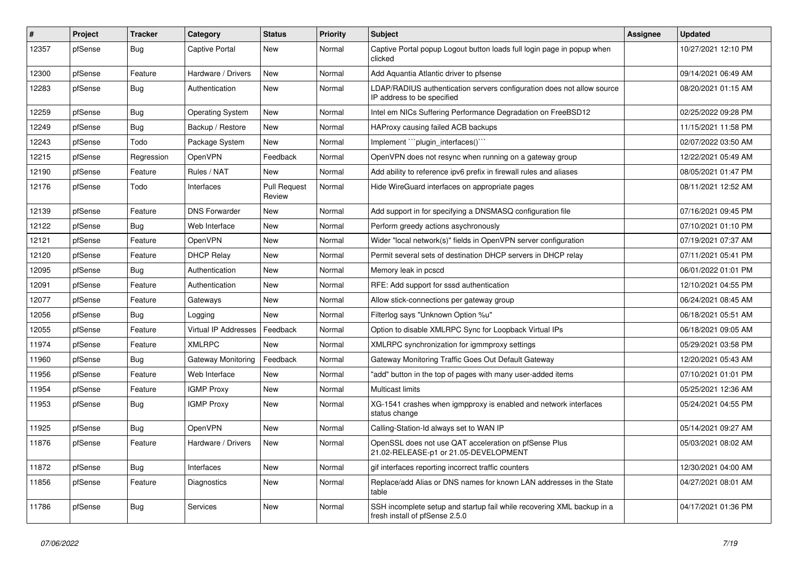| #     | Project | <b>Tracker</b> | Category             | <b>Status</b>                 | Priority | <b>Subject</b>                                                                                           | Assignee | <b>Updated</b>      |
|-------|---------|----------------|----------------------|-------------------------------|----------|----------------------------------------------------------------------------------------------------------|----------|---------------------|
| 12357 | pfSense | <b>Bug</b>     | Captive Portal       | New                           | Normal   | Captive Portal popup Logout button loads full login page in popup when<br>clicked                        |          | 10/27/2021 12:10 PM |
| 12300 | pfSense | Feature        | Hardware / Drivers   | New                           | Normal   | Add Aquantia Atlantic driver to pfsense                                                                  |          | 09/14/2021 06:49 AM |
| 12283 | pfSense | <b>Bug</b>     | Authentication       | New                           | Normal   | LDAP/RADIUS authentication servers configuration does not allow source<br>IP address to be specified     |          | 08/20/2021 01:15 AM |
| 12259 | pfSense | Bug            | Operating System     | New                           | Normal   | Intel em NICs Suffering Performance Degradation on FreeBSD12                                             |          | 02/25/2022 09:28 PM |
| 12249 | pfSense | Bug            | Backup / Restore     | New                           | Normal   | HAProxy causing failed ACB backups                                                                       |          | 11/15/2021 11:58 PM |
| 12243 | pfSense | Todo           | Package System       | <b>New</b>                    | Normal   | Implement "``plugin_interfaces()```                                                                      |          | 02/07/2022 03:50 AM |
| 12215 | pfSense | Regression     | OpenVPN              | Feedback                      | Normal   | OpenVPN does not resync when running on a gateway group                                                  |          | 12/22/2021 05:49 AM |
| 12190 | pfSense | Feature        | Rules / NAT          | <b>New</b>                    | Normal   | Add ability to reference ipv6 prefix in firewall rules and aliases                                       |          | 08/05/2021 01:47 PM |
| 12176 | pfSense | Todo           | Interfaces           | <b>Pull Request</b><br>Review | Normal   | Hide WireGuard interfaces on appropriate pages                                                           |          | 08/11/2021 12:52 AM |
| 12139 | pfSense | Feature        | <b>DNS Forwarder</b> | New                           | Normal   | Add support in for specifying a DNSMASQ configuration file                                               |          | 07/16/2021 09:45 PM |
| 12122 | pfSense | Bug            | Web Interface        | New                           | Normal   | Perform greedy actions asychronously                                                                     |          | 07/10/2021 01:10 PM |
| 12121 | pfSense | Feature        | OpenVPN              | New                           | Normal   | Wider "local network(s)" fields in OpenVPN server configuration                                          |          | 07/19/2021 07:37 AM |
| 12120 | pfSense | Feature        | <b>DHCP Relay</b>    | New                           | Normal   | Permit several sets of destination DHCP servers in DHCP relay                                            |          | 07/11/2021 05:41 PM |
| 12095 | pfSense | <b>Bug</b>     | Authentication       | New                           | Normal   | Memory leak in pcscd                                                                                     |          | 06/01/2022 01:01 PM |
| 12091 | pfSense | Feature        | Authentication       | New                           | Normal   | RFE: Add support for sssd authentication                                                                 |          | 12/10/2021 04:55 PM |
| 12077 | pfSense | Feature        | Gateways             | New                           | Normal   | Allow stick-connections per gateway group                                                                |          | 06/24/2021 08:45 AM |
| 12056 | pfSense | <b>Bug</b>     | Logging              | <b>New</b>                    | Normal   | Filterlog says "Unknown Option %u"                                                                       |          | 06/18/2021 05:51 AM |
| 12055 | pfSense | Feature        | Virtual IP Addresses | Feedback                      | Normal   | Option to disable XMLRPC Sync for Loopback Virtual IPs                                                   |          | 06/18/2021 09:05 AM |
| 11974 | pfSense | Feature        | <b>XMLRPC</b>        | <b>New</b>                    | Normal   | XMLRPC synchronization for igmmproxy settings                                                            |          | 05/29/2021 03:58 PM |
| 11960 | pfSense | <b>Bug</b>     | Gateway Monitoring   | Feedback                      | Normal   | Gateway Monitoring Traffic Goes Out Default Gateway                                                      |          | 12/20/2021 05:43 AM |
| 11956 | pfSense | Feature        | Web Interface        | <b>New</b>                    | Normal   | "add" button in the top of pages with many user-added items                                              |          | 07/10/2021 01:01 PM |
| 11954 | pfSense | Feature        | <b>IGMP Proxy</b>    | <b>New</b>                    | Normal   | <b>Multicast limits</b>                                                                                  |          | 05/25/2021 12:36 AM |
| 11953 | pfSense | <b>Bug</b>     | <b>IGMP Proxy</b>    | New                           | Normal   | XG-1541 crashes when igmpproxy is enabled and network interfaces<br>status change                        |          | 05/24/2021 04:55 PM |
| 11925 | pfSense | Bug            | OpenVPN              | <b>New</b>                    | Normal   | Calling-Station-Id always set to WAN IP                                                                  |          | 05/14/2021 09:27 AM |
| 11876 | pfSense | Feature        | Hardware / Drivers   | New                           | Normal   | OpenSSL does not use QAT acceleration on pfSense Plus<br>21.02-RELEASE-p1 or 21.05-DEVELOPMENT           |          | 05/03/2021 08:02 AM |
| 11872 | pfSense | <b>Bug</b>     | Interfaces           | New                           | Normal   | gif interfaces reporting incorrect traffic counters                                                      |          | 12/30/2021 04:00 AM |
| 11856 | pfSense | Feature        | Diagnostics          | New                           | Normal   | Replace/add Alias or DNS names for known LAN addresses in the State<br>table                             |          | 04/27/2021 08:01 AM |
| 11786 | pfSense | Bug            | Services             | <b>New</b>                    | Normal   | SSH incomplete setup and startup fail while recovering XML backup in a<br>fresh install of pfSense 2.5.0 |          | 04/17/2021 01:36 PM |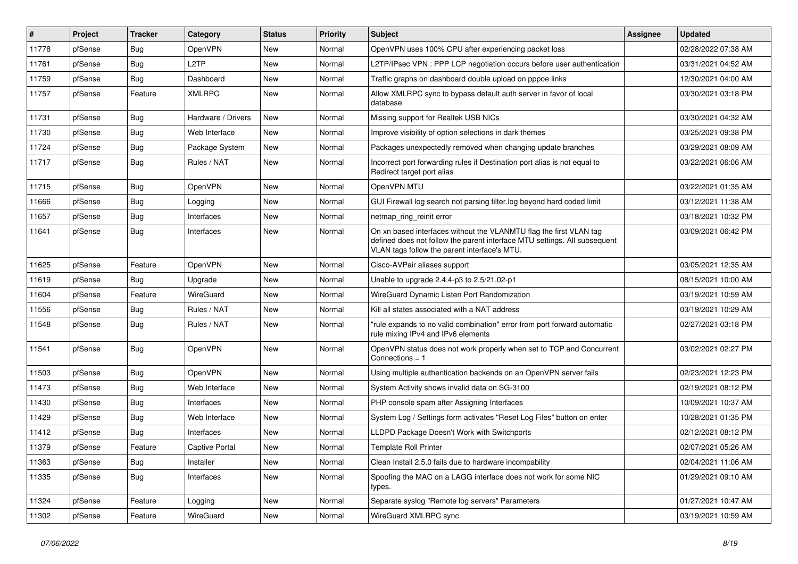| #     | Project | <b>Tracker</b> | Category           | <b>Status</b> | <b>Priority</b> | Subject                                                                                                                                                                                         | <b>Assignee</b> | <b>Updated</b>      |
|-------|---------|----------------|--------------------|---------------|-----------------|-------------------------------------------------------------------------------------------------------------------------------------------------------------------------------------------------|-----------------|---------------------|
| 11778 | pfSense | <b>Bug</b>     | OpenVPN            | New           | Normal          | OpenVPN uses 100% CPU after experiencing packet loss                                                                                                                                            |                 | 02/28/2022 07:38 AM |
| 11761 | pfSense | <b>Bug</b>     | L <sub>2</sub> TP  | <b>New</b>    | Normal          | L2TP/IPsec VPN: PPP LCP negotiation occurs before user authentication                                                                                                                           |                 | 03/31/2021 04:52 AM |
| 11759 | pfSense | <b>Bug</b>     | Dashboard          | New           | Normal          | Traffic graphs on dashboard double upload on pppoe links                                                                                                                                        |                 | 12/30/2021 04:00 AM |
| 11757 | pfSense | Feature        | <b>XMLRPC</b>      | New           | Normal          | Allow XMLRPC sync to bypass default auth server in favor of local<br>database                                                                                                                   |                 | 03/30/2021 03:18 PM |
| 11731 | pfSense | <b>Bug</b>     | Hardware / Drivers | New           | Normal          | Missing support for Realtek USB NICs                                                                                                                                                            |                 | 03/30/2021 04:32 AM |
| 11730 | pfSense | Bug            | Web Interface      | New           | Normal          | Improve visibility of option selections in dark themes                                                                                                                                          |                 | 03/25/2021 09:38 PM |
| 11724 | pfSense | <b>Bug</b>     | Package System     | New           | Normal          | Packages unexpectedly removed when changing update branches                                                                                                                                     |                 | 03/29/2021 08:09 AM |
| 11717 | pfSense | <b>Bug</b>     | Rules / NAT        | New           | Normal          | Incorrect port forwarding rules if Destination port alias is not equal to<br>Redirect target port alias                                                                                         |                 | 03/22/2021 06:06 AM |
| 11715 | pfSense | Bug            | OpenVPN            | New           | Normal          | OpenVPN MTU                                                                                                                                                                                     |                 | 03/22/2021 01:35 AM |
| 11666 | pfSense | <b>Bug</b>     | Logging            | New           | Normal          | GUI Firewall log search not parsing filter.log beyond hard coded limit                                                                                                                          |                 | 03/12/2021 11:38 AM |
| 11657 | pfSense | Bug            | Interfaces         | New           | Normal          | netmap_ring_reinit error                                                                                                                                                                        |                 | 03/18/2021 10:32 PM |
| 11641 | pfSense | <b>Bug</b>     | Interfaces         | New           | Normal          | On xn based interfaces without the VLANMTU flag the first VLAN tag<br>defined does not follow the parent interface MTU settings. All subsequent<br>VLAN tags follow the parent interface's MTU. |                 | 03/09/2021 06:42 PM |
| 11625 | pfSense | Feature        | <b>OpenVPN</b>     | New           | Normal          | Cisco-AVPair aliases support                                                                                                                                                                    |                 | 03/05/2021 12:35 AM |
| 11619 | pfSense | <b>Bug</b>     | Upgrade            | New           | Normal          | Unable to upgrade 2.4.4-p3 to 2.5/21.02-p1                                                                                                                                                      |                 | 08/15/2021 10:00 AM |
| 11604 | pfSense | Feature        | WireGuard          | New           | Normal          | WireGuard Dynamic Listen Port Randomization                                                                                                                                                     |                 | 03/19/2021 10:59 AM |
| 11556 | pfSense | <b>Bug</b>     | Rules / NAT        | New           | Normal          | Kill all states associated with a NAT address                                                                                                                                                   |                 | 03/19/2021 10:29 AM |
| 11548 | pfSense | Bug            | Rules / NAT        | New           | Normal          | "rule expands to no valid combination" error from port forward automatic<br>rule mixing IPv4 and IPv6 elements                                                                                  |                 | 02/27/2021 03:18 PM |
| 11541 | pfSense | Bug            | OpenVPN            | New           | Normal          | OpenVPN status does not work properly when set to TCP and Concurrent<br>Connections $= 1$                                                                                                       |                 | 03/02/2021 02:27 PM |
| 11503 | pfSense | <b>Bug</b>     | <b>OpenVPN</b>     | New           | Normal          | Using multiple authentication backends on an OpenVPN server fails                                                                                                                               |                 | 02/23/2021 12:23 PM |
| 11473 | pfSense | <b>Bug</b>     | Web Interface      | New           | Normal          | System Activity shows invalid data on SG-3100                                                                                                                                                   |                 | 02/19/2021 08:12 PM |
| 11430 | pfSense | <b>Bug</b>     | Interfaces         | New           | Normal          | PHP console spam after Assigning Interfaces                                                                                                                                                     |                 | 10/09/2021 10:37 AM |
| 11429 | pfSense | <b>Bug</b>     | Web Interface      | New           | Normal          | System Log / Settings form activates "Reset Log Files" button on enter                                                                                                                          |                 | 10/28/2021 01:35 PM |
| 11412 | pfSense | Bug            | Interfaces         | New           | Normal          | LLDPD Package Doesn't Work with Switchports                                                                                                                                                     |                 | 02/12/2021 08:12 PM |
| 11379 | pfSense | Feature        | Captive Portal     | New           | Normal          | <b>Template Roll Printer</b>                                                                                                                                                                    |                 | 02/07/2021 05:26 AM |
| 11363 | pfSense | Bug            | Installer          | New           | Normal          | Clean Install 2.5.0 fails due to hardware incompability                                                                                                                                         |                 | 02/04/2021 11:06 AM |
| 11335 | pfSense | Bug            | Interfaces         | New           | Normal          | Spoofing the MAC on a LAGG interface does not work for some NIC<br>types.                                                                                                                       |                 | 01/29/2021 09:10 AM |
| 11324 | pfSense | Feature        | Logging            | New           | Normal          | Separate syslog "Remote log servers" Parameters                                                                                                                                                 |                 | 01/27/2021 10:47 AM |
| 11302 | pfSense | Feature        | WireGuard          | New           | Normal          | WireGuard XMLRPC sync                                                                                                                                                                           |                 | 03/19/2021 10:59 AM |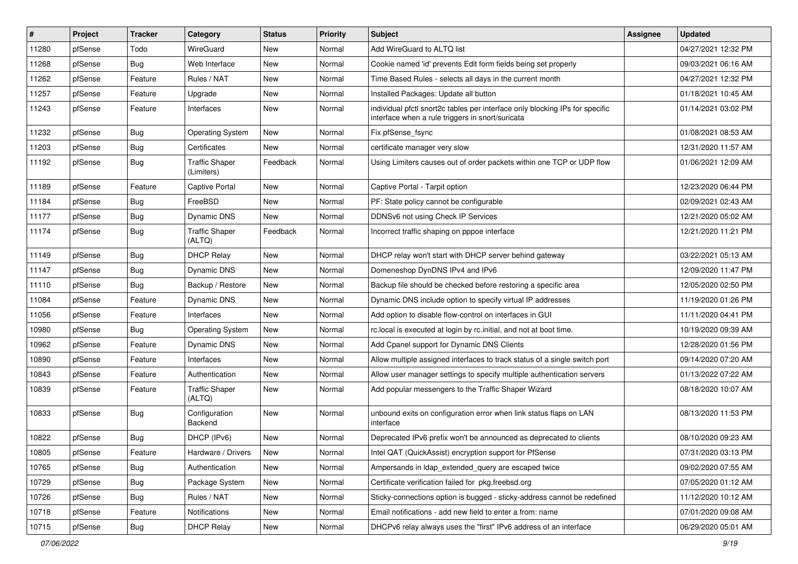| $\vert$ # | Project | <b>Tracker</b> | Category                            | <b>Status</b> | <b>Priority</b> | Subject                                                                                                                          | <b>Assignee</b> | <b>Updated</b>      |
|-----------|---------|----------------|-------------------------------------|---------------|-----------------|----------------------------------------------------------------------------------------------------------------------------------|-----------------|---------------------|
| 11280     | pfSense | Todo           | WireGuard                           | New           | Normal          | Add WireGuard to ALTQ list                                                                                                       |                 | 04/27/2021 12:32 PM |
| 11268     | pfSense | Bug            | Web Interface                       | New           | Normal          | Cookie named 'id' prevents Edit form fields being set properly                                                                   |                 | 09/03/2021 06:16 AM |
| 11262     | pfSense | Feature        | Rules / NAT                         | New           | Normal          | Time Based Rules - selects all days in the current month                                                                         |                 | 04/27/2021 12:32 PM |
| 11257     | pfSense | Feature        | Upgrade                             | New           | Normal          | Installed Packages: Update all button                                                                                            |                 | 01/18/2021 10:45 AM |
| 11243     | pfSense | Feature        | Interfaces                          | New           | Normal          | individual pfctl snort2c tables per interface only blocking IPs for specific<br>interface when a rule triggers in snort/suricata |                 | 01/14/2021 03:02 PM |
| 11232     | pfSense | Bug            | <b>Operating System</b>             | New           | Normal          | Fix pfSense_fsync                                                                                                                |                 | 01/08/2021 08:53 AM |
| 11203     | pfSense | Bug            | Certificates                        | <b>New</b>    | Normal          | certificate manager very slow                                                                                                    |                 | 12/31/2020 11:57 AM |
| 11192     | pfSense | <b>Bug</b>     | <b>Traffic Shaper</b><br>(Limiters) | Feedback      | Normal          | Using Limiters causes out of order packets within one TCP or UDP flow                                                            |                 | 01/06/2021 12:09 AM |
| 11189     | pfSense | Feature        | <b>Captive Portal</b>               | New           | Normal          | Captive Portal - Tarpit option                                                                                                   |                 | 12/23/2020 06:44 PM |
| 11184     | pfSense | Bug            | FreeBSD                             | New           | Normal          | PF: State policy cannot be configurable                                                                                          |                 | 02/09/2021 02:43 AM |
| 11177     | pfSense | Bug            | Dynamic DNS                         | New           | Normal          | DDNSv6 not using Check IP Services                                                                                               |                 | 12/21/2020 05:02 AM |
| 11174     | pfSense | Bug            | <b>Traffic Shaper</b><br>(ALTQ)     | Feedback      | Normal          | Incorrect traffic shaping on pppoe interface                                                                                     |                 | 12/21/2020 11:21 PM |
| 11149     | pfSense | Bug            | <b>DHCP Relay</b>                   | New           | Normal          | DHCP relay won't start with DHCP server behind gateway                                                                           |                 | 03/22/2021 05:13 AM |
| 11147     | pfSense | Bug            | Dynamic DNS                         | New           | Normal          | Domeneshop DynDNS IPv4 and IPv6                                                                                                  |                 | 12/09/2020 11:47 PM |
| 11110     | pfSense | Bug            | Backup / Restore                    | New           | Normal          | Backup file should be checked before restoring a specific area                                                                   |                 | 12/05/2020 02:50 PM |
| 11084     | pfSense | Feature        | Dynamic DNS                         | New           | Normal          | Dynamic DNS include option to specify virtual IP addresses                                                                       |                 | 11/19/2020 01:26 PM |
| 11056     | pfSense | Feature        | Interfaces                          | New           | Normal          | Add option to disable flow-control on interfaces in GUI                                                                          |                 | 11/11/2020 04:41 PM |
| 10980     | pfSense | Bug            | <b>Operating System</b>             | New           | Normal          | rc.local is executed at login by rc.initial, and not at boot time.                                                               |                 | 10/19/2020 09:39 AM |
| 10962     | pfSense | Feature        | Dynamic DNS                         | New           | Normal          | Add Cpanel support for Dynamic DNS Clients                                                                                       |                 | 12/28/2020 01:56 PM |
| 10890     | pfSense | Feature        | Interfaces                          | New           | Normal          | Allow multiple assigned interfaces to track status of a single switch port                                                       |                 | 09/14/2020 07:20 AM |
| 10843     | pfSense | Feature        | Authentication                      | New           | Normal          | Allow user manager settings to specify multiple authentication servers                                                           |                 | 01/13/2022 07:22 AM |
| 10839     | pfSense | Feature        | <b>Traffic Shaper</b><br>(ALTQ)     | New           | Normal          | Add popular messengers to the Traffic Shaper Wizard                                                                              |                 | 08/18/2020 10:07 AM |
| 10833     | pfSense | Bug            | Configuration<br>Backend            | New           | Normal          | unbound exits on configuration error when link status flaps on LAN<br>interface                                                  |                 | 08/13/2020 11:53 PM |
| 10822     | pfSense | <b>Bug</b>     | DHCP (IPv6)                         | New           | Normal          | Deprecated IPv6 prefix won't be announced as deprecated to clients                                                               |                 | 08/10/2020 09:23 AM |
| 10805     | pfSense | Feature        | Hardware / Drivers                  | New           | Normal          | Intel QAT (QuickAssist) encryption support for PfSense                                                                           |                 | 07/31/2020 03:13 PM |
| 10765     | pfSense | Bug            | Authentication                      | New           | Normal          | Ampersands in Idap_extended_query are escaped twice                                                                              |                 | 09/02/2020 07:55 AM |
| 10729     | pfSense | <b>Bug</b>     | Package System                      | New           | Normal          | Certificate verification failed for pkg.freebsd.org                                                                              |                 | 07/05/2020 01:12 AM |
| 10726     | pfSense | Bug            | Rules / NAT                         | New           | Normal          | Sticky-connections option is bugged - sticky-address cannot be redefined                                                         |                 | 11/12/2020 10:12 AM |
| 10718     | pfSense | Feature        | Notifications                       | New           | Normal          | Email notifications - add new field to enter a from: name                                                                        |                 | 07/01/2020 09:08 AM |
| 10715     | pfSense | <b>Bug</b>     | <b>DHCP Relay</b>                   | New           | Normal          | DHCPv6 relay always uses the "first" IPv6 address of an interface                                                                |                 | 06/29/2020 05:01 AM |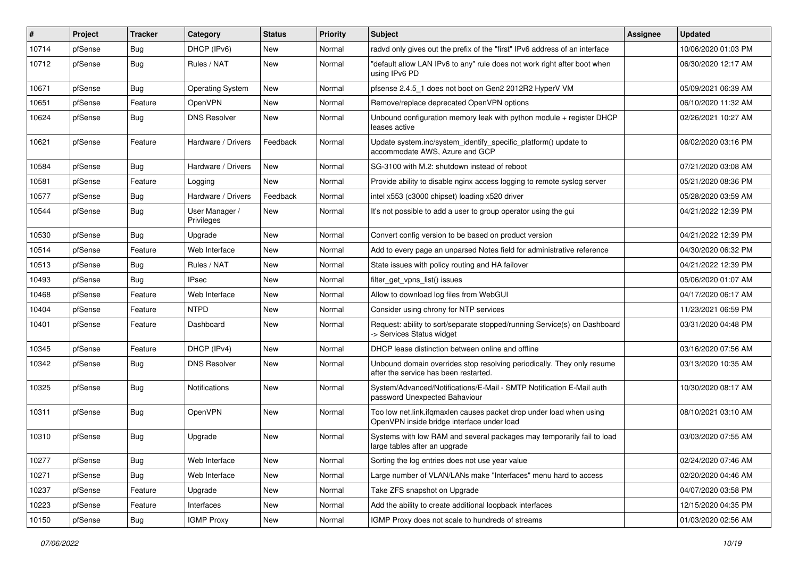| $\#$  | Project | <b>Tracker</b> | Category                     | <b>Status</b> | <b>Priority</b> | <b>Subject</b>                                                                                                    | <b>Assignee</b> | <b>Updated</b>      |
|-------|---------|----------------|------------------------------|---------------|-----------------|-------------------------------------------------------------------------------------------------------------------|-----------------|---------------------|
| 10714 | pfSense | Bug            | DHCP (IPv6)                  | New           | Normal          | radvd only gives out the prefix of the "first" IPv6 address of an interface                                       |                 | 10/06/2020 01:03 PM |
| 10712 | pfSense | Bug            | Rules / NAT                  | New           | Normal          | "default allow LAN IPv6 to any" rule does not work right after boot when<br>using IPv6 PD                         |                 | 06/30/2020 12:17 AM |
| 10671 | pfSense | Bug            | <b>Operating System</b>      | New           | Normal          | pfsense 2.4.5 1 does not boot on Gen2 2012R2 HyperV VM                                                            |                 | 05/09/2021 06:39 AM |
| 10651 | pfSense | Feature        | OpenVPN                      | New           | Normal          | Remove/replace deprecated OpenVPN options                                                                         |                 | 06/10/2020 11:32 AM |
| 10624 | pfSense | Bug            | <b>DNS Resolver</b>          | New           | Normal          | Unbound configuration memory leak with python module $+$ register DHCP<br>leases active                           |                 | 02/26/2021 10:27 AM |
| 10621 | pfSense | Feature        | Hardware / Drivers           | Feedback      | Normal          | Update system.inc/system_identify_specific_platform() update to<br>accommodate AWS, Azure and GCP                 |                 | 06/02/2020 03:16 PM |
| 10584 | pfSense | Bug            | Hardware / Drivers           | <b>New</b>    | Normal          | SG-3100 with M.2: shutdown instead of reboot                                                                      |                 | 07/21/2020 03:08 AM |
| 10581 | pfSense | Feature        | Logging                      | New           | Normal          | Provide ability to disable nginx access logging to remote syslog server                                           |                 | 05/21/2020 08:36 PM |
| 10577 | pfSense | <b>Bug</b>     | Hardware / Drivers           | Feedback      | Normal          | intel x553 (c3000 chipset) loading x520 driver                                                                    |                 | 05/28/2020 03:59 AM |
| 10544 | pfSense | Bug            | User Manager /<br>Privileges | New           | Normal          | It's not possible to add a user to group operator using the gui                                                   |                 | 04/21/2022 12:39 PM |
| 10530 | pfSense | Bug            | Upgrade                      | New           | Normal          | Convert config version to be based on product version                                                             |                 | 04/21/2022 12:39 PM |
| 10514 | pfSense | Feature        | Web Interface                | New           | Normal          | Add to every page an unparsed Notes field for administrative reference                                            |                 | 04/30/2020 06:32 PM |
| 10513 | pfSense | Bug            | Rules / NAT                  | New           | Normal          | State issues with policy routing and HA failover                                                                  |                 | 04/21/2022 12:39 PM |
| 10493 | pfSense | Bug            | <b>IPsec</b>                 | New           | Normal          | filter_get_vpns_list() issues                                                                                     |                 | 05/06/2020 01:07 AM |
| 10468 | pfSense | Feature        | Web Interface                | New           | Normal          | Allow to download log files from WebGUI                                                                           |                 | 04/17/2020 06:17 AM |
| 10404 | pfSense | Feature        | <b>NTPD</b>                  | New           | Normal          | Consider using chrony for NTP services                                                                            |                 | 11/23/2021 06:59 PM |
| 10401 | pfSense | Feature        | Dashboard                    | New           | Normal          | Request: ability to sort/separate stopped/running Service(s) on Dashboard<br>-> Services Status widget            |                 | 03/31/2020 04:48 PM |
| 10345 | pfSense | Feature        | DHCP (IPv4)                  | New           | Normal          | DHCP lease distinction between online and offline                                                                 |                 | 03/16/2020 07:56 AM |
| 10342 | pfSense | Bug            | <b>DNS Resolver</b>          | New           | Normal          | Unbound domain overrides stop resolving periodically. They only resume<br>after the service has been restarted.   |                 | 03/13/2020 10:35 AM |
| 10325 | pfSense | <b>Bug</b>     | Notifications                | New           | Normal          | System/Advanced/Notifications/E-Mail - SMTP Notification E-Mail auth<br>password Unexpected Bahaviour             |                 | 10/30/2020 08:17 AM |
| 10311 | pfSense | Bug            | OpenVPN                      | New           | Normal          | Too low net.link.ifqmaxlen causes packet drop under load when using<br>OpenVPN inside bridge interface under load |                 | 08/10/2021 03:10 AM |
| 10310 | pfSense | Bug            | Upgrade                      | New           | Normal          | Systems with low RAM and several packages may temporarily fail to load<br>large tables after an upgrade           |                 | 03/03/2020 07:55 AM |
| 10277 | pfSense | Bug            | Web Interface                | New           | Normal          | Sorting the log entries does not use year value                                                                   |                 | 02/24/2020 07:46 AM |
| 10271 | pfSense | <b>Bug</b>     | Web Interface                | New           | Normal          | Large number of VLAN/LANs make "Interfaces" menu hard to access                                                   |                 | 02/20/2020 04:46 AM |
| 10237 | pfSense | Feature        | Upgrade                      | New           | Normal          | Take ZFS snapshot on Upgrade                                                                                      |                 | 04/07/2020 03:58 PM |
| 10223 | pfSense | Feature        | Interfaces                   | New           | Normal          | Add the ability to create additional loopback interfaces                                                          |                 | 12/15/2020 04:35 PM |
| 10150 | pfSense | <b>Bug</b>     | <b>IGMP Proxy</b>            | New           | Normal          | IGMP Proxy does not scale to hundreds of streams                                                                  |                 | 01/03/2020 02:56 AM |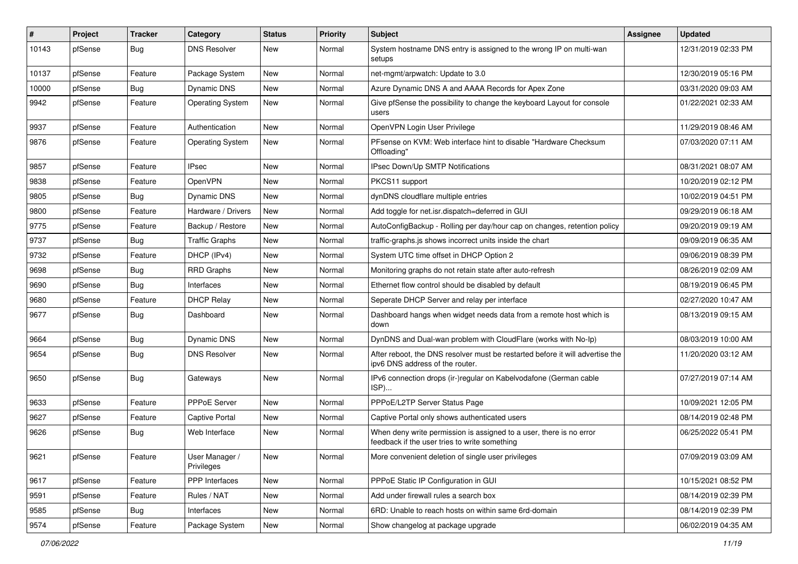| $\#$  | Project | <b>Tracker</b> | Category                     | <b>Status</b> | <b>Priority</b> | <b>Subject</b>                                                                                                       | <b>Assignee</b> | <b>Updated</b>      |
|-------|---------|----------------|------------------------------|---------------|-----------------|----------------------------------------------------------------------------------------------------------------------|-----------------|---------------------|
| 10143 | pfSense | <b>Bug</b>     | <b>DNS Resolver</b>          | New           | Normal          | System hostname DNS entry is assigned to the wrong IP on multi-wan<br>setups                                         |                 | 12/31/2019 02:33 PM |
| 10137 | pfSense | Feature        | Package System               | New           | Normal          | net-mgmt/arpwatch: Update to 3.0                                                                                     |                 | 12/30/2019 05:16 PM |
| 10000 | pfSense | Bug            | Dynamic DNS                  | New           | Normal          | Azure Dynamic DNS A and AAAA Records for Apex Zone                                                                   |                 | 03/31/2020 09:03 AM |
| 9942  | pfSense | Feature        | <b>Operating System</b>      | New           | Normal          | Give pfSense the possibility to change the keyboard Layout for console<br>users                                      |                 | 01/22/2021 02:33 AM |
| 9937  | pfSense | Feature        | Authentication               | New           | Normal          | OpenVPN Login User Privilege                                                                                         |                 | 11/29/2019 08:46 AM |
| 9876  | pfSense | Feature        | <b>Operating System</b>      | New           | Normal          | PFsense on KVM: Web interface hint to disable "Hardware Checksum<br>Offloading"                                      |                 | 07/03/2020 07:11 AM |
| 9857  | pfSense | Feature        | <b>IPsec</b>                 | <b>New</b>    | Normal          | IPsec Down/Up SMTP Notifications                                                                                     |                 | 08/31/2021 08:07 AM |
| 9838  | pfSense | Feature        | <b>OpenVPN</b>               | New           | Normal          | PKCS11 support                                                                                                       |                 | 10/20/2019 02:12 PM |
| 9805  | pfSense | Bug            | <b>Dynamic DNS</b>           | New           | Normal          | dynDNS cloudflare multiple entries                                                                                   |                 | 10/02/2019 04:51 PM |
| 9800  | pfSense | Feature        | Hardware / Drivers           | <b>New</b>    | Normal          | Add toggle for net.isr.dispatch=deferred in GUI                                                                      |                 | 09/29/2019 06:18 AM |
| 9775  | pfSense | Feature        | Backup / Restore             | New           | Normal          | AutoConfigBackup - Rolling per day/hour cap on changes, retention policy                                             |                 | 09/20/2019 09:19 AM |
| 9737  | pfSense | Bug            | <b>Traffic Graphs</b>        | New           | Normal          | traffic-graphs.js shows incorrect units inside the chart                                                             |                 | 09/09/2019 06:35 AM |
| 9732  | pfSense | Feature        | DHCP (IPv4)                  | New           | Normal          | System UTC time offset in DHCP Option 2                                                                              |                 | 09/06/2019 08:39 PM |
| 9698  | pfSense | Bug            | <b>RRD Graphs</b>            | New           | Normal          | Monitoring graphs do not retain state after auto-refresh                                                             |                 | 08/26/2019 02:09 AM |
| 9690  | pfSense | Bug            | Interfaces                   | New           | Normal          | Ethernet flow control should be disabled by default                                                                  |                 | 08/19/2019 06:45 PM |
| 9680  | pfSense | Feature        | <b>DHCP Relay</b>            | New           | Normal          | Seperate DHCP Server and relay per interface                                                                         |                 | 02/27/2020 10:47 AM |
| 9677  | pfSense | Bug            | Dashboard                    | New           | Normal          | Dashboard hangs when widget needs data from a remote host which is<br>down                                           |                 | 08/13/2019 09:15 AM |
| 9664  | pfSense | Bug            | <b>Dynamic DNS</b>           | New           | Normal          | DynDNS and Dual-wan problem with CloudFlare (works with No-Ip)                                                       |                 | 08/03/2019 10:00 AM |
| 9654  | pfSense | Bug            | <b>DNS Resolver</b>          | New           | Normal          | After reboot, the DNS resolver must be restarted before it will advertise the<br>ipv6 DNS address of the router.     |                 | 11/20/2020 03:12 AM |
| 9650  | pfSense | Bug            | Gateways                     | New           | Normal          | IPv6 connection drops (ir-)regular on Kabelvodafone (German cable<br>ISP)                                            |                 | 07/27/2019 07:14 AM |
| 9633  | pfSense | Feature        | PPPoE Server                 | New           | Normal          | PPPoE/L2TP Server Status Page                                                                                        |                 | 10/09/2021 12:05 PM |
| 9627  | pfSense | Feature        | <b>Captive Portal</b>        | New           | Normal          | Captive Portal only shows authenticated users                                                                        |                 | 08/14/2019 02:48 PM |
| 9626  | pfSense | Bug            | Web Interface                | New           | Normal          | When deny write permission is assigned to a user, there is no error<br>feedback if the user tries to write something |                 | 06/25/2022 05:41 PM |
| 9621  | pfSense | Feature        | User Manager /<br>Privileges | New           | Normal          | More convenient deletion of single user privileges                                                                   |                 | 07/09/2019 03:09 AM |
| 9617  | pfSense | Feature        | PPP Interfaces               | New           | Normal          | PPPoE Static IP Configuration in GUI                                                                                 |                 | 10/15/2021 08:52 PM |
| 9591  | pfSense | Feature        | Rules / NAT                  | New           | Normal          | Add under firewall rules a search box                                                                                |                 | 08/14/2019 02:39 PM |
| 9585  | pfSense | <b>Bug</b>     | Interfaces                   | New           | Normal          | 6RD: Unable to reach hosts on within same 6rd-domain                                                                 |                 | 08/14/2019 02:39 PM |
| 9574  | pfSense | Feature        | Package System               | New           | Normal          | Show changelog at package upgrade                                                                                    |                 | 06/02/2019 04:35 AM |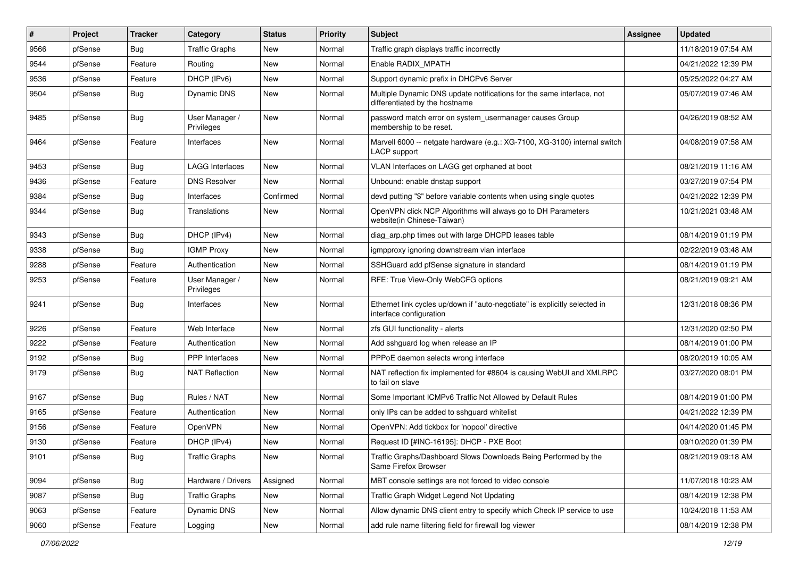| $\vert$ # | Project | <b>Tracker</b> | Category                     | <b>Status</b> | <b>Priority</b> | <b>Subject</b>                                                                                          | Assignee | <b>Updated</b>      |
|-----------|---------|----------------|------------------------------|---------------|-----------------|---------------------------------------------------------------------------------------------------------|----------|---------------------|
| 9566      | pfSense | <b>Bug</b>     | <b>Traffic Graphs</b>        | New           | Normal          | Traffic graph displays traffic incorrectly                                                              |          | 11/18/2019 07:54 AM |
| 9544      | pfSense | Feature        | Routing                      | New           | Normal          | Enable RADIX_MPATH                                                                                      |          | 04/21/2022 12:39 PM |
| 9536      | pfSense | Feature        | DHCP (IPv6)                  | New           | Normal          | Support dynamic prefix in DHCPv6 Server                                                                 |          | 05/25/2022 04:27 AM |
| 9504      | pfSense | Bug            | Dynamic DNS                  | New           | Normal          | Multiple Dynamic DNS update notifications for the same interface, not<br>differentiated by the hostname |          | 05/07/2019 07:46 AM |
| 9485      | pfSense | Bug            | User Manager /<br>Privileges | <b>New</b>    | Normal          | password match error on system_usermanager causes Group<br>membership to be reset.                      |          | 04/26/2019 08:52 AM |
| 9464      | pfSense | Feature        | Interfaces                   | <b>New</b>    | Normal          | Marvell 6000 -- netgate hardware (e.g.: XG-7100, XG-3100) internal switch<br><b>LACP</b> support        |          | 04/08/2019 07:58 AM |
| 9453      | pfSense | Bug            | <b>LAGG Interfaces</b>       | <b>New</b>    | Normal          | VLAN Interfaces on LAGG get orphaned at boot                                                            |          | 08/21/2019 11:16 AM |
| 9436      | pfSense | Feature        | <b>DNS Resolver</b>          | New           | Normal          | Unbound: enable dnstap support                                                                          |          | 03/27/2019 07:54 PM |
| 9384      | pfSense | Bug            | Interfaces                   | Confirmed     | Normal          | devd putting "\$" before variable contents when using single quotes                                     |          | 04/21/2022 12:39 PM |
| 9344      | pfSense | Bug            | Translations                 | New           | Normal          | OpenVPN click NCP Algorithms will always go to DH Parameters<br>website(in Chinese-Taiwan)              |          | 10/21/2021 03:48 AM |
| 9343      | pfSense | Bug            | DHCP (IPv4)                  | <b>New</b>    | Normal          | diag_arp.php times out with large DHCPD leases table                                                    |          | 08/14/2019 01:19 PM |
| 9338      | pfSense | Bug            | <b>IGMP Proxy</b>            | <b>New</b>    | Normal          | igmpproxy ignoring downstream vlan interface                                                            |          | 02/22/2019 03:48 AM |
| 9288      | pfSense | Feature        | Authentication               | New           | Normal          | SSHGuard add pfSense signature in standard                                                              |          | 08/14/2019 01:19 PM |
| 9253      | pfSense | Feature        | User Manager /<br>Privileges | New           | Normal          | RFE: True View-Only WebCFG options                                                                      |          | 08/21/2019 09:21 AM |
| 9241      | pfSense | Bug            | Interfaces                   | <b>New</b>    | Normal          | Ethernet link cycles up/down if "auto-negotiate" is explicitly selected in<br>interface configuration   |          | 12/31/2018 08:36 PM |
| 9226      | pfSense | Feature        | Web Interface                | New           | Normal          | zfs GUI functionality - alerts                                                                          |          | 12/31/2020 02:50 PM |
| 9222      | pfSense | Feature        | Authentication               | New           | Normal          | Add sshguard log when release an IP                                                                     |          | 08/14/2019 01:00 PM |
| 9192      | pfSense | Bug            | <b>PPP</b> Interfaces        | <b>New</b>    | Normal          | PPPoE daemon selects wrong interface                                                                    |          | 08/20/2019 10:05 AM |
| 9179      | pfSense | Bug            | NAT Reflection               | New           | Normal          | NAT reflection fix implemented for #8604 is causing WebUI and XMLRPC<br>to fail on slave                |          | 03/27/2020 08:01 PM |
| 9167      | pfSense | Bug            | Rules / NAT                  | <b>New</b>    | Normal          | Some Important ICMPv6 Traffic Not Allowed by Default Rules                                              |          | 08/14/2019 01:00 PM |
| 9165      | pfSense | Feature        | Authentication               | New           | Normal          | only IPs can be added to sshguard whitelist                                                             |          | 04/21/2022 12:39 PM |
| 9156      | pfSense | Feature        | OpenVPN                      | New           | Normal          | OpenVPN: Add tickbox for 'nopool' directive                                                             |          | 04/14/2020 01:45 PM |
| 9130      | pfSense | Feature        | DHCP (IPv4)                  | New           | Normal          | Request ID [#INC-16195]: DHCP - PXE Boot                                                                |          | 09/10/2020 01:39 PM |
| 9101      | pfSense | <b>Bug</b>     | <b>Traffic Graphs</b>        | New           | Normal          | Traffic Graphs/Dashboard Slows Downloads Being Performed by the<br>Same Firefox Browser                 |          | 08/21/2019 09:18 AM |
| 9094      | pfSense | Bug            | Hardware / Drivers           | Assigned      | Normal          | MBT console settings are not forced to video console                                                    |          | 11/07/2018 10:23 AM |
| 9087      | pfSense | Bug            | <b>Traffic Graphs</b>        | New           | Normal          | Traffic Graph Widget Legend Not Updating                                                                |          | 08/14/2019 12:38 PM |
| 9063      | pfSense | Feature        | Dynamic DNS                  | New           | Normal          | Allow dynamic DNS client entry to specify which Check IP service to use                                 |          | 10/24/2018 11:53 AM |
| 9060      | pfSense | Feature        | Logging                      | New           | Normal          | add rule name filtering field for firewall log viewer                                                   |          | 08/14/2019 12:38 PM |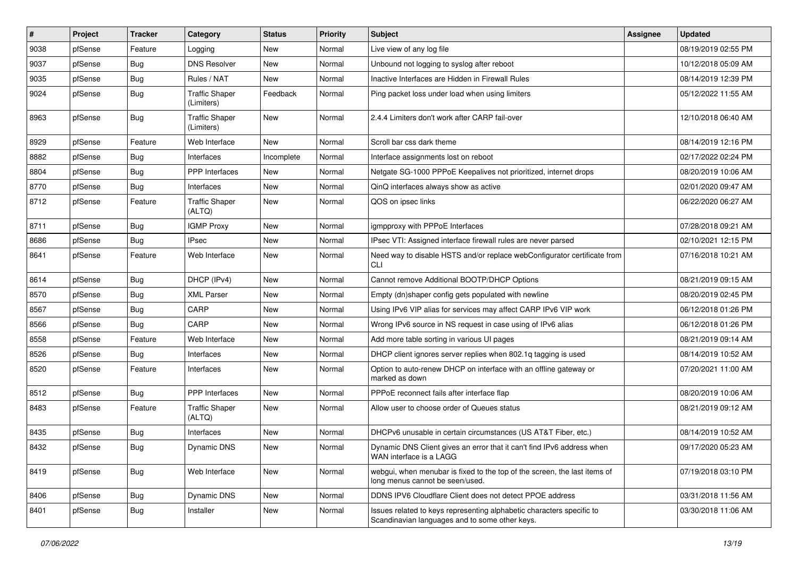| #    | Project | <b>Tracker</b> | Category                            | <b>Status</b> | <b>Priority</b> | Subject                                                                                                                 | <b>Assignee</b> | <b>Updated</b>      |
|------|---------|----------------|-------------------------------------|---------------|-----------------|-------------------------------------------------------------------------------------------------------------------------|-----------------|---------------------|
| 9038 | pfSense | Feature        | Logging                             | New           | Normal          | Live view of any log file                                                                                               |                 | 08/19/2019 02:55 PM |
| 9037 | pfSense | <b>Bug</b>     | <b>DNS Resolver</b>                 | <b>New</b>    | Normal          | Unbound not logging to syslog after reboot                                                                              |                 | 10/12/2018 05:09 AM |
| 9035 | pfSense | Bug            | Rules / NAT                         | New           | Normal          | Inactive Interfaces are Hidden in Firewall Rules                                                                        |                 | 08/14/2019 12:39 PM |
| 9024 | pfSense | Bug            | <b>Traffic Shaper</b><br>(Limiters) | Feedback      | Normal          | Ping packet loss under load when using limiters                                                                         |                 | 05/12/2022 11:55 AM |
| 8963 | pfSense | Bug            | <b>Traffic Shaper</b><br>(Limiters) | <b>New</b>    | Normal          | 2.4.4 Limiters don't work after CARP fail-over                                                                          |                 | 12/10/2018 06:40 AM |
| 8929 | pfSense | Feature        | Web Interface                       | <b>New</b>    | Normal          | Scroll bar css dark theme                                                                                               |                 | 08/14/2019 12:16 PM |
| 8882 | pfSense | Bug            | Interfaces                          | Incomplete    | Normal          | Interface assignments lost on reboot                                                                                    |                 | 02/17/2022 02:24 PM |
| 8804 | pfSense | <b>Bug</b>     | <b>PPP</b> Interfaces               | New           | Normal          | Netgate SG-1000 PPPoE Keepalives not prioritized, internet drops                                                        |                 | 08/20/2019 10:06 AM |
| 8770 | pfSense | Bug            | Interfaces                          | New           | Normal          | QinQ interfaces always show as active                                                                                   |                 | 02/01/2020 09:47 AM |
| 8712 | pfSense | Feature        | <b>Traffic Shaper</b><br>(ALTQ)     | New           | Normal          | QOS on ipsec links                                                                                                      |                 | 06/22/2020 06:27 AM |
| 8711 | pfSense | <b>Bug</b>     | <b>IGMP Proxy</b>                   | New           | Normal          | igmpproxy with PPPoE Interfaces                                                                                         |                 | 07/28/2018 09:21 AM |
| 8686 | pfSense | Bug            | <b>IPsec</b>                        | New           | Normal          | IPsec VTI: Assigned interface firewall rules are never parsed                                                           |                 | 02/10/2021 12:15 PM |
| 8641 | pfSense | Feature        | Web Interface                       | New           | Normal          | Need way to disable HSTS and/or replace webConfigurator certificate from<br>CLI                                         |                 | 07/16/2018 10:21 AM |
| 8614 | pfSense | Bug            | DHCP (IPv4)                         | <b>New</b>    | Normal          | Cannot remove Additional BOOTP/DHCP Options                                                                             |                 | 08/21/2019 09:15 AM |
| 8570 | pfSense | Bug            | <b>XML Parser</b>                   | New           | Normal          | Empty (dn)shaper config gets populated with newline                                                                     |                 | 08/20/2019 02:45 PM |
| 8567 | pfSense | <b>Bug</b>     | CARP                                | New           | Normal          | Using IPv6 VIP alias for services may affect CARP IPv6 VIP work                                                         |                 | 06/12/2018 01:26 PM |
| 8566 | pfSense | Bug            | CARP                                | <b>New</b>    | Normal          | Wrong IPv6 source in NS request in case using of IPv6 alias                                                             |                 | 06/12/2018 01:26 PM |
| 8558 | pfSense | Feature        | Web Interface                       | New           | Normal          | Add more table sorting in various UI pages                                                                              |                 | 08/21/2019 09:14 AM |
| 8526 | pfSense | Bug            | Interfaces                          | New           | Normal          | DHCP client ignores server replies when 802.1q tagging is used                                                          |                 | 08/14/2019 10:52 AM |
| 8520 | pfSense | Feature        | Interfaces                          | New           | Normal          | Option to auto-renew DHCP on interface with an offline gateway or<br>marked as down                                     |                 | 07/20/2021 11:00 AM |
| 8512 | pfSense | Bug            | PPP Interfaces                      | <b>New</b>    | Normal          | PPPoE reconnect fails after interface flap                                                                              |                 | 08/20/2019 10:06 AM |
| 8483 | pfSense | Feature        | <b>Traffic Shaper</b><br>(ALTQ)     | New           | Normal          | Allow user to choose order of Queues status                                                                             |                 | 08/21/2019 09:12 AM |
| 8435 | pfSense | Bug            | Interfaces                          | <b>New</b>    | Normal          | DHCPv6 unusable in certain circumstances (US AT&T Fiber, etc.)                                                          |                 | 08/14/2019 10:52 AM |
| 8432 | pfSense | Bug            | Dynamic DNS                         | New           | Normal          | Dynamic DNS Client gives an error that it can't find IPv6 address when<br>WAN interface is a LAGG                       |                 | 09/17/2020 05:23 AM |
| 8419 | pfSense | Bug            | Web Interface                       | New           | Normal          | webgui, when menubar is fixed to the top of the screen, the last items of<br>long menus cannot be seen/used.            |                 | 07/19/2018 03:10 PM |
| 8406 | pfSense | Bug            | Dynamic DNS                         | New           | Normal          | DDNS IPV6 Cloudflare Client does not detect PPOE address                                                                |                 | 03/31/2018 11:56 AM |
| 8401 | pfSense | Bug            | Installer                           | New           | Normal          | Issues related to keys representing alphabetic characters specific to<br>Scandinavian languages and to some other keys. |                 | 03/30/2018 11:06 AM |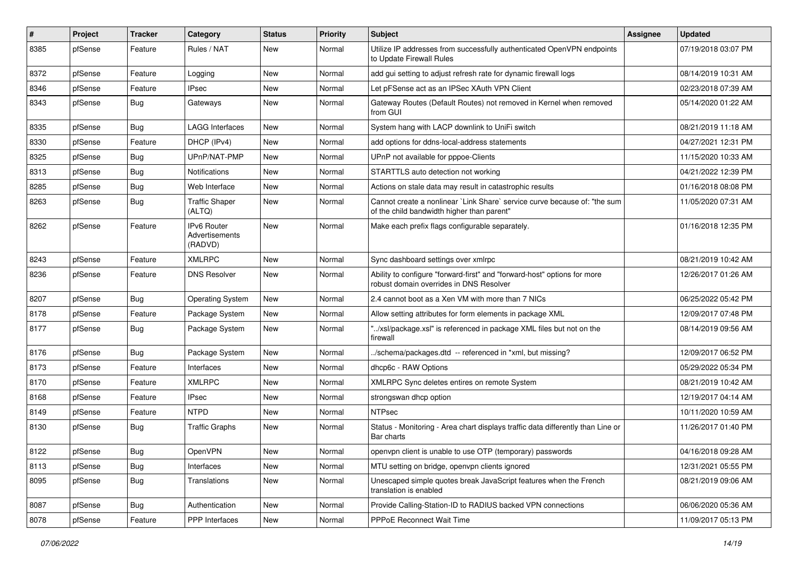| #    | Project | <b>Tracker</b> | Category                                        | <b>Status</b> | <b>Priority</b> | <b>Subject</b>                                                                                                          | Assignee | <b>Updated</b>      |
|------|---------|----------------|-------------------------------------------------|---------------|-----------------|-------------------------------------------------------------------------------------------------------------------------|----------|---------------------|
| 8385 | pfSense | Feature        | Rules / NAT                                     | New           | Normal          | Utilize IP addresses from successfully authenticated OpenVPN endpoints<br>to Update Firewall Rules                      |          | 07/19/2018 03:07 PM |
| 8372 | pfSense | Feature        | Logging                                         | New           | Normal          | add gui setting to adjust refresh rate for dynamic firewall logs                                                        |          | 08/14/2019 10:31 AM |
| 8346 | pfSense | Feature        | <b>IPsec</b>                                    | New           | Normal          | Let pFSense act as an IPSec XAuth VPN Client                                                                            |          | 02/23/2018 07:39 AM |
| 8343 | pfSense | Bug            | Gateways                                        | New           | Normal          | Gateway Routes (Default Routes) not removed in Kernel when removed<br>from GUI                                          |          | 05/14/2020 01:22 AM |
| 8335 | pfSense | Bug            | <b>LAGG Interfaces</b>                          | New           | Normal          | System hang with LACP downlink to UniFi switch                                                                          |          | 08/21/2019 11:18 AM |
| 8330 | pfSense | Feature        | DHCP (IPv4)                                     | New           | Normal          | add options for ddns-local-address statements                                                                           |          | 04/27/2021 12:31 PM |
| 8325 | pfSense | <b>Bug</b>     | UPnP/NAT-PMP                                    | New           | Normal          | UPnP not available for pppoe-Clients                                                                                    |          | 11/15/2020 10:33 AM |
| 8313 | pfSense | Bug            | Notifications                                   | New           | Normal          | STARTTLS auto detection not working                                                                                     |          | 04/21/2022 12:39 PM |
| 8285 | pfSense | Bug            | Web Interface                                   | New           | Normal          | Actions on stale data may result in catastrophic results                                                                |          | 01/16/2018 08:08 PM |
| 8263 | pfSense | Bug            | <b>Traffic Shaper</b><br>(ALTQ)                 | New           | Normal          | Cannot create a nonlinear `Link Share` service curve because of: "the sum<br>of the child bandwidth higher than parent" |          | 11/05/2020 07:31 AM |
| 8262 | pfSense | Feature        | <b>IPv6 Router</b><br>Advertisements<br>(RADVD) | New           | Normal          | Make each prefix flags configurable separately.                                                                         |          | 01/16/2018 12:35 PM |
| 8243 | pfSense | Feature        | <b>XMLRPC</b>                                   | <b>New</b>    | Normal          | Sync dashboard settings over xmlrpc                                                                                     |          | 08/21/2019 10:42 AM |
| 8236 | pfSense | Feature        | <b>DNS Resolver</b>                             | <b>New</b>    | Normal          | Ability to configure "forward-first" and "forward-host" options for more<br>robust domain overrides in DNS Resolver     |          | 12/26/2017 01:26 AM |
| 8207 | pfSense | <b>Bug</b>     | <b>Operating System</b>                         | New           | Normal          | 2.4 cannot boot as a Xen VM with more than 7 NICs                                                                       |          | 06/25/2022 05:42 PM |
| 8178 | pfSense | Feature        | Package System                                  | <b>New</b>    | Normal          | Allow setting attributes for form elements in package XML                                                               |          | 12/09/2017 07:48 PM |
| 8177 | pfSense | Bug            | Package System                                  | New           | Normal          | "/xsl/package.xsl" is referenced in package XML files but not on the<br>firewall                                        |          | 08/14/2019 09:56 AM |
| 8176 | pfSense | Bug            | Package System                                  | New           | Normal          | ./schema/packages.dtd -- referenced in *xml, but missing?                                                               |          | 12/09/2017 06:52 PM |
| 8173 | pfSense | Feature        | Interfaces                                      | New           | Normal          | dhcp6c - RAW Options                                                                                                    |          | 05/29/2022 05:34 PM |
| 8170 | pfSense | Feature        | <b>XMLRPC</b>                                   | New           | Normal          | XMLRPC Sync deletes entires on remote System                                                                            |          | 08/21/2019 10:42 AM |
| 8168 | pfSense | Feature        | IPsec                                           | New           | Normal          | strongswan dhcp option                                                                                                  |          | 12/19/2017 04:14 AM |
| 8149 | pfSense | Feature        | <b>NTPD</b>                                     | New           | Normal          | <b>NTPsec</b>                                                                                                           |          | 10/11/2020 10:59 AM |
| 8130 | pfSense | Bug            | <b>Traffic Graphs</b>                           | New           | Normal          | Status - Monitoring - Area chart displays traffic data differently than Line or<br>Bar charts                           |          | 11/26/2017 01:40 PM |
| 8122 | pfSense | Bug            | OpenVPN                                         | New           | Normal          | openvpn client is unable to use OTP (temporary) passwords                                                               |          | 04/16/2018 09:28 AM |
| 8113 | pfSense | Bug            | Interfaces                                      | New           | Normal          | MTU setting on bridge, openvpn clients ignored                                                                          |          | 12/31/2021 05:55 PM |
| 8095 | pfSense | <b>Bug</b>     | <b>Translations</b>                             | New           | Normal          | Unescaped simple quotes break JavaScript features when the French<br>translation is enabled                             |          | 08/21/2019 09:06 AM |
| 8087 | pfSense | Bug            | Authentication                                  | New           | Normal          | Provide Calling-Station-ID to RADIUS backed VPN connections                                                             |          | 06/06/2020 05:36 AM |
| 8078 | pfSense | Feature        | <b>PPP</b> Interfaces                           | New           | Normal          | <b>PPPoE Reconnect Wait Time</b>                                                                                        |          | 11/09/2017 05:13 PM |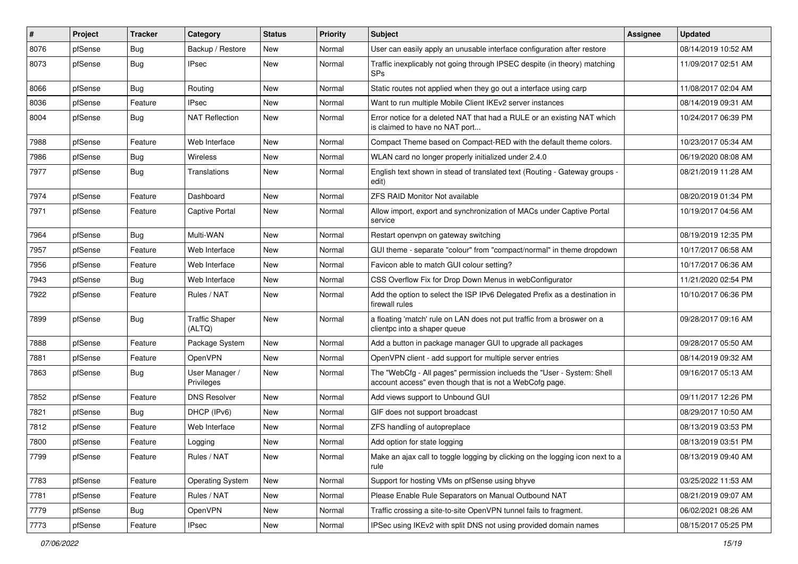| $\sharp$ | Project | <b>Tracker</b> | Category                        | <b>Status</b> | <b>Priority</b> | Subject                                                                                                                           | Assignee | <b>Updated</b>      |
|----------|---------|----------------|---------------------------------|---------------|-----------------|-----------------------------------------------------------------------------------------------------------------------------------|----------|---------------------|
| 8076     | pfSense | <b>Bug</b>     | Backup / Restore                | New           | Normal          | User can easily apply an unusable interface configuration after restore                                                           |          | 08/14/2019 10:52 AM |
| 8073     | pfSense | Bug            | <b>IPsec</b>                    | New           | Normal          | Traffic inexplicably not going through IPSEC despite (in theory) matching<br><b>SPs</b>                                           |          | 11/09/2017 02:51 AM |
| 8066     | pfSense | Bug            | Routing                         | <b>New</b>    | Normal          | Static routes not applied when they go out a interface using carp                                                                 |          | 11/08/2017 02:04 AM |
| 8036     | pfSense | Feature        | <b>IPsec</b>                    | New           | Normal          | Want to run multiple Mobile Client IKEv2 server instances                                                                         |          | 08/14/2019 09:31 AM |
| 8004     | pfSense | Bug            | <b>NAT Reflection</b>           | New           | Normal          | Error notice for a deleted NAT that had a RULE or an existing NAT which<br>is claimed to have no NAT port                         |          | 10/24/2017 06:39 PM |
| 7988     | pfSense | Feature        | Web Interface                   | <b>New</b>    | Normal          | Compact Theme based on Compact-RED with the default theme colors.                                                                 |          | 10/23/2017 05:34 AM |
| 7986     | pfSense | Bug            | Wireless                        | New           | Normal          | WLAN card no longer properly initialized under 2.4.0                                                                              |          | 06/19/2020 08:08 AM |
| 7977     | pfSense | Bug            | Translations                    | New           | Normal          | English text shown in stead of translated text (Routing - Gateway groups -<br>edit)                                               |          | 08/21/2019 11:28 AM |
| 7974     | pfSense | Feature        | Dashboard                       | <b>New</b>    | Normal          | <b>ZFS RAID Monitor Not available</b>                                                                                             |          | 08/20/2019 01:34 PM |
| 7971     | pfSense | Feature        | <b>Captive Portal</b>           | New           | Normal          | Allow import, export and synchronization of MACs under Captive Portal<br>service                                                  |          | 10/19/2017 04:56 AM |
| 7964     | pfSense | Bug            | Multi-WAN                       | <b>New</b>    | Normal          | Restart openypn on gateway switching                                                                                              |          | 08/19/2019 12:35 PM |
| 7957     | pfSense | Feature        | Web Interface                   | <b>New</b>    | Normal          | GUI theme - separate "colour" from "compact/normal" in theme dropdown                                                             |          | 10/17/2017 06:58 AM |
| 7956     | pfSense | Feature        | Web Interface                   | New           | Normal          | Favicon able to match GUI colour setting?                                                                                         |          | 10/17/2017 06:36 AM |
| 7943     | pfSense | Bug            | Web Interface                   | <b>New</b>    | Normal          | CSS Overflow Fix for Drop Down Menus in webConfigurator                                                                           |          | 11/21/2020 02:54 PM |
| 7922     | pfSense | Feature        | Rules / NAT                     | New           | Normal          | Add the option to select the ISP IPv6 Delegated Prefix as a destination in<br>firewall rules                                      |          | 10/10/2017 06:36 PM |
| 7899     | pfSense | Bug            | <b>Traffic Shaper</b><br>(ALTQ) | <b>New</b>    | Normal          | a floating 'match' rule on LAN does not put traffic from a broswer on a<br>clientpc into a shaper queue                           |          | 09/28/2017 09:16 AM |
| 7888     | pfSense | Feature        | Package System                  | New           | Normal          | Add a button in package manager GUI to upgrade all packages                                                                       |          | 09/28/2017 05:50 AM |
| 7881     | pfSense | Feature        | <b>OpenVPN</b>                  | <b>New</b>    | Normal          | OpenVPN client - add support for multiple server entries                                                                          |          | 08/14/2019 09:32 AM |
| 7863     | pfSense | Bug            | User Manager /<br>Privileges    | New           | Normal          | The "WebCfg - All pages" permission inclueds the "User - System: Shell<br>account access" even though that is not a WebCofg page. |          | 09/16/2017 05:13 AM |
| 7852     | pfSense | Feature        | <b>DNS Resolver</b>             | <b>New</b>    | Normal          | Add views support to Unbound GUI                                                                                                  |          | 09/11/2017 12:26 PM |
| 7821     | pfSense | Bug            | DHCP (IPv6)                     | New           | Normal          | GIF does not support broadcast                                                                                                    |          | 08/29/2017 10:50 AM |
| 7812     | pfSense | Feature        | Web Interface                   | New           | Normal          | ZFS handling of autopreplace                                                                                                      |          | 08/13/2019 03:53 PM |
| 7800     | pfSense | Feature        | Logging                         | New           | Normal          | Add option for state logging                                                                                                      |          | 08/13/2019 03:51 PM |
| 7799     | pfSense | Feature        | Rules / NAT                     | New           | Normal          | Make an ajax call to toggle logging by clicking on the logging icon next to a<br>rule                                             |          | 08/13/2019 09:40 AM |
| 7783     | pfSense | Feature        | <b>Operating System</b>         | New           | Normal          | Support for hosting VMs on pfSense using bhyve                                                                                    |          | 03/25/2022 11:53 AM |
| 7781     | pfSense | Feature        | Rules / NAT                     | New           | Normal          | Please Enable Rule Separators on Manual Outbound NAT                                                                              |          | 08/21/2019 09:07 AM |
| 7779     | pfSense | <b>Bug</b>     | OpenVPN                         | New           | Normal          | Traffic crossing a site-to-site OpenVPN tunnel fails to fragment.                                                                 |          | 06/02/2021 08:26 AM |
| 7773     | pfSense | Feature        | <b>IPsec</b>                    | New           | Normal          | IPSec using IKEv2 with split DNS not using provided domain names                                                                  |          | 08/15/2017 05:25 PM |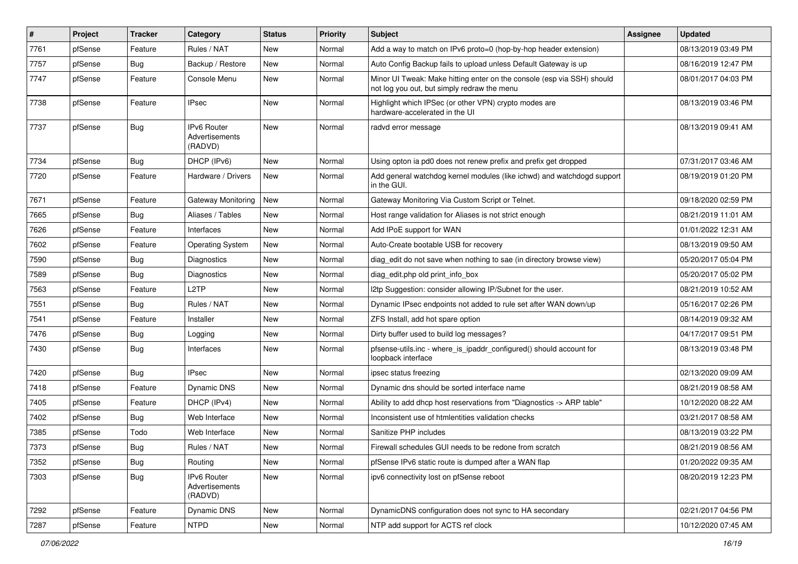| $\sharp$ | Project | <b>Tracker</b> | Category                                 | <b>Status</b> | <b>Priority</b> | Subject                                                                                                               | <b>Assignee</b> | <b>Updated</b>      |
|----------|---------|----------------|------------------------------------------|---------------|-----------------|-----------------------------------------------------------------------------------------------------------------------|-----------------|---------------------|
| 7761     | pfSense | Feature        | Rules / NAT                              | New           | Normal          | Add a way to match on IPv6 proto=0 (hop-by-hop header extension)                                                      |                 | 08/13/2019 03:49 PM |
| 7757     | pfSense | Bug            | Backup / Restore                         | New           | Normal          | Auto Config Backup fails to upload unless Default Gateway is up                                                       |                 | 08/16/2019 12:47 PM |
| 7747     | pfSense | Feature        | Console Menu                             | New           | Normal          | Minor UI Tweak: Make hitting enter on the console (esp via SSH) should<br>not log you out, but simply redraw the menu |                 | 08/01/2017 04:03 PM |
| 7738     | pfSense | Feature        | <b>IPsec</b>                             | <b>New</b>    | Normal          | Highlight which IPSec (or other VPN) crypto modes are<br>hardware-accelerated in the UI                               |                 | 08/13/2019 03:46 PM |
| 7737     | pfSense | Bug            | IPv6 Router<br>Advertisements<br>(RADVD) | New           | Normal          | radvd error message                                                                                                   |                 | 08/13/2019 09:41 AM |
| 7734     | pfSense | Bug            | DHCP (IPv6)                              | New           | Normal          | Using opton ia pd0 does not renew prefix and prefix get dropped                                                       |                 | 07/31/2017 03:46 AM |
| 7720     | pfSense | Feature        | Hardware / Drivers                       | New           | Normal          | Add general watchdog kernel modules (like ichwd) and watchdogd support<br>in the GUI.                                 |                 | 08/19/2019 01:20 PM |
| 7671     | pfSense | Feature        | Gateway Monitoring                       | <b>New</b>    | Normal          | Gateway Monitoring Via Custom Script or Telnet.                                                                       |                 | 09/18/2020 02:59 PM |
| 7665     | pfSense | Bug            | Aliases / Tables                         | New           | Normal          | Host range validation for Aliases is not strict enough                                                                |                 | 08/21/2019 11:01 AM |
| 7626     | pfSense | Feature        | Interfaces                               | New           | Normal          | Add IPoE support for WAN                                                                                              |                 | 01/01/2022 12:31 AM |
| 7602     | pfSense | Feature        | <b>Operating System</b>                  | <b>New</b>    | Normal          | Auto-Create bootable USB for recovery                                                                                 |                 | 08/13/2019 09:50 AM |
| 7590     | pfSense | Bug            | Diagnostics                              | New           | Normal          | diag edit do not save when nothing to sae (in directory browse view)                                                  |                 | 05/20/2017 05:04 PM |
| 7589     | pfSense | Bug            | Diagnostics                              | New           | Normal          | diag_edit.php old print_info_box                                                                                      |                 | 05/20/2017 05:02 PM |
| 7563     | pfSense | Feature        | L <sub>2</sub> TP                        | New           | Normal          | I2tp Suggestion: consider allowing IP/Subnet for the user.                                                            |                 | 08/21/2019 10:52 AM |
| 7551     | pfSense | Bug            | Rules / NAT                              | New           | Normal          | Dynamic IPsec endpoints not added to rule set after WAN down/up                                                       |                 | 05/16/2017 02:26 PM |
| 7541     | pfSense | Feature        | Installer                                | <b>New</b>    | Normal          | ZFS Install, add hot spare option                                                                                     |                 | 08/14/2019 09:32 AM |
| 7476     | pfSense | Bug            | Logging                                  | New           | Normal          | Dirty buffer used to build log messages?                                                                              |                 | 04/17/2017 09:51 PM |
| 7430     | pfSense | Bug            | Interfaces                               | New           | Normal          | pfsense-utils.inc - where_is_ipaddr_configured() should account for<br>loopback interface                             |                 | 08/13/2019 03:48 PM |
| 7420     | pfSense | Bug            | <b>IPsec</b>                             | <b>New</b>    | Normal          | ipsec status freezing                                                                                                 |                 | 02/13/2020 09:09 AM |
| 7418     | pfSense | Feature        | Dynamic DNS                              | New           | Normal          | Dynamic dns should be sorted interface name                                                                           |                 | 08/21/2019 08:58 AM |
| 7405     | pfSense | Feature        | DHCP (IPv4)                              | New           | Normal          | Ability to add dhcp host reservations from "Diagnostics -> ARP table"                                                 |                 | 10/12/2020 08:22 AM |
| 7402     | pfSense | Bug            | Web Interface                            | New           | Normal          | Inconsistent use of htmlentities validation checks                                                                    |                 | 03/21/2017 08:58 AM |
| 7385     | pfSense | Todo           | Web Interface                            | <b>New</b>    | Normal          | Sanitize PHP includes                                                                                                 |                 | 08/13/2019 03:22 PM |
| 7373     | pfSense | <b>Bug</b>     | Rules / NAT                              | New           | Normal          | Firewall schedules GUI needs to be redone from scratch                                                                |                 | 08/21/2019 08:56 AM |
| 7352     | pfSense | Bug            | Routing                                  | New           | Normal          | pfSense IPv6 static route is dumped after a WAN flap                                                                  |                 | 01/20/2022 09:35 AM |
| 7303     | pfSense | Bug            | IPv6 Router<br>Advertisements<br>(RADVD) | New           | Normal          | ipv6 connectivity lost on pfSense reboot                                                                              |                 | 08/20/2019 12:23 PM |
| 7292     | pfSense | Feature        | Dynamic DNS                              | New           | Normal          | DynamicDNS configuration does not sync to HA secondary                                                                |                 | 02/21/2017 04:56 PM |
| 7287     | pfSense | Feature        | <b>NTPD</b>                              | New           | Normal          | NTP add support for ACTS ref clock                                                                                    |                 | 10/12/2020 07:45 AM |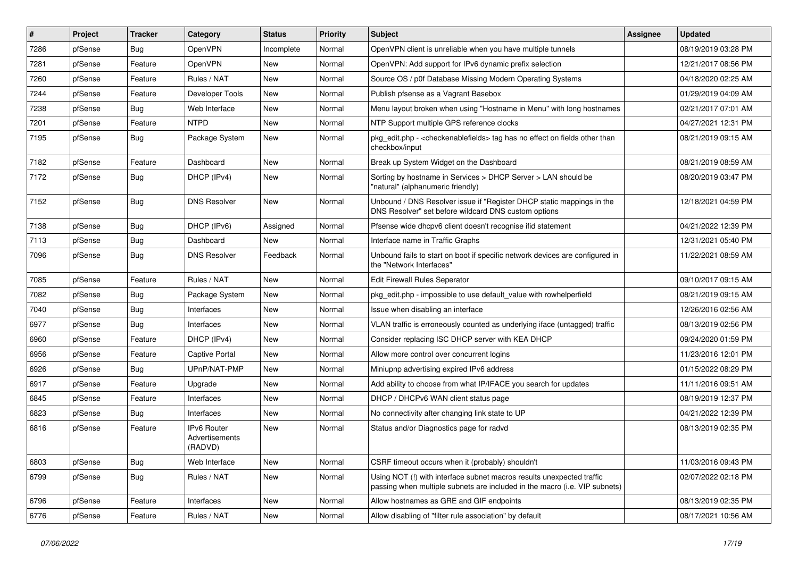| #    | Project | <b>Tracker</b> | Category                                 | <b>Status</b> | <b>Priority</b> | Subject                                                                                                                                             | <b>Assignee</b> | <b>Updated</b>      |
|------|---------|----------------|------------------------------------------|---------------|-----------------|-----------------------------------------------------------------------------------------------------------------------------------------------------|-----------------|---------------------|
| 7286 | pfSense | <b>Bug</b>     | OpenVPN                                  | Incomplete    | Normal          | OpenVPN client is unreliable when you have multiple tunnels                                                                                         |                 | 08/19/2019 03:28 PM |
| 7281 | pfSense | Feature        | OpenVPN                                  | <b>New</b>    | Normal          | OpenVPN: Add support for IPv6 dynamic prefix selection                                                                                              |                 | 12/21/2017 08:56 PM |
| 7260 | pfSense | Feature        | Rules / NAT                              | New           | Normal          | Source OS / p0f Database Missing Modern Operating Systems                                                                                           |                 | 04/18/2020 02:25 AM |
| 7244 | pfSense | Feature        | Developer Tools                          | New           | Normal          | Publish pfsense as a Vagrant Basebox                                                                                                                |                 | 01/29/2019 04:09 AM |
| 7238 | pfSense | Bug            | Web Interface                            | <b>New</b>    | Normal          | Menu layout broken when using "Hostname in Menu" with long hostnames                                                                                |                 | 02/21/2017 07:01 AM |
| 7201 | pfSense | Feature        | <b>NTPD</b>                              | New           | Normal          | NTP Support multiple GPS reference clocks                                                                                                           |                 | 04/27/2021 12:31 PM |
| 7195 | pfSense | Bug            | Package System                           | New           | Normal          | pkg edit.php - <checkenable fields=""> tag has no effect on fields other than<br/>checkbox/input</checkenable>                                      |                 | 08/21/2019 09:15 AM |
| 7182 | pfSense | Feature        | Dashboard                                | <b>New</b>    | Normal          | Break up System Widget on the Dashboard                                                                                                             |                 | 08/21/2019 08:59 AM |
| 7172 | pfSense | <b>Bug</b>     | DHCP (IPv4)                              | New           | Normal          | Sorting by hostname in Services > DHCP Server > LAN should be<br>"natural" (alphanumeric friendly)                                                  |                 | 08/20/2019 03:47 PM |
| 7152 | pfSense | <b>Bug</b>     | <b>DNS Resolver</b>                      | <b>New</b>    | Normal          | Unbound / DNS Resolver issue if "Register DHCP static mappings in the<br>DNS Resolver" set before wildcard DNS custom options                       |                 | 12/18/2021 04:59 PM |
| 7138 | pfSense | <b>Bug</b>     | DHCP (IPv6)                              | Assigned      | Normal          | Pfsense wide dhcpv6 client doesn't recognise ifid statement                                                                                         |                 | 04/21/2022 12:39 PM |
| 7113 | pfSense | <b>Bug</b>     | Dashboard                                | New           | Normal          | Interface name in Traffic Graphs                                                                                                                    |                 | 12/31/2021 05:40 PM |
| 7096 | pfSense | <b>Bug</b>     | <b>DNS Resolver</b>                      | Feedback      | Normal          | Unbound fails to start on boot if specific network devices are configured in<br>the "Network Interfaces"                                            |                 | 11/22/2021 08:59 AM |
| 7085 | pfSense | Feature        | Rules / NAT                              | <b>New</b>    | Normal          | <b>Edit Firewall Rules Seperator</b>                                                                                                                |                 | 09/10/2017 09:15 AM |
| 7082 | pfSense | <b>Bug</b>     | Package System                           | New           | Normal          | pkg edit.php - impossible to use default value with rowhelperfield                                                                                  |                 | 08/21/2019 09:15 AM |
| 7040 | pfSense | <b>Bug</b>     | Interfaces                               | <b>New</b>    | Normal          | Issue when disabling an interface                                                                                                                   |                 | 12/26/2016 02:56 AM |
| 6977 | pfSense | <b>Bug</b>     | Interfaces                               | <b>New</b>    | Normal          | VLAN traffic is erroneously counted as underlying iface (untagged) traffic                                                                          |                 | 08/13/2019 02:56 PM |
| 6960 | pfSense | Feature        | DHCP (IPv4)                              | New           | Normal          | Consider replacing ISC DHCP server with KEA DHCP                                                                                                    |                 | 09/24/2020 01:59 PM |
| 6956 | pfSense | Feature        | <b>Captive Portal</b>                    | New           | Normal          | Allow more control over concurrent logins                                                                                                           |                 | 11/23/2016 12:01 PM |
| 6926 | pfSense | <b>Bug</b>     | UPnP/NAT-PMP                             | New           | Normal          | Miniupnp advertising expired IPv6 address                                                                                                           |                 | 01/15/2022 08:29 PM |
| 6917 | pfSense | Feature        | Upgrade                                  | New           | Normal          | Add ability to choose from what IP/IFACE you search for updates                                                                                     |                 | 11/11/2016 09:51 AM |
| 6845 | pfSense | Feature        | Interfaces                               | New           | Normal          | DHCP / DHCPv6 WAN client status page                                                                                                                |                 | 08/19/2019 12:37 PM |
| 6823 | pfSense | Bug            | Interfaces                               | New           | Normal          | No connectivity after changing link state to UP                                                                                                     |                 | 04/21/2022 12:39 PM |
| 6816 | pfSense | Feature        | IPv6 Router<br>Advertisements<br>(RADVD) | New           | Normal          | Status and/or Diagnostics page for radvd                                                                                                            |                 | 08/13/2019 02:35 PM |
| 6803 | pfSense | Bug            | Web Interface                            | New           | Normal          | CSRF timeout occurs when it (probably) shouldn't                                                                                                    |                 | 11/03/2016 09:43 PM |
| 6799 | pfSense | <b>Bug</b>     | Rules / NAT                              | New           | Normal          | Using NOT (!) with interface subnet macros results unexpected traffic<br>passing when multiple subnets are included in the macro (i.e. VIP subnets) |                 | 02/07/2022 02:18 PM |
| 6796 | pfSense | Feature        | Interfaces                               | New           | Normal          | Allow hostnames as GRE and GIF endpoints                                                                                                            |                 | 08/13/2019 02:35 PM |
| 6776 | pfSense | Feature        | Rules / NAT                              | New           | Normal          | Allow disabling of "filter rule association" by default                                                                                             |                 | 08/17/2021 10:56 AM |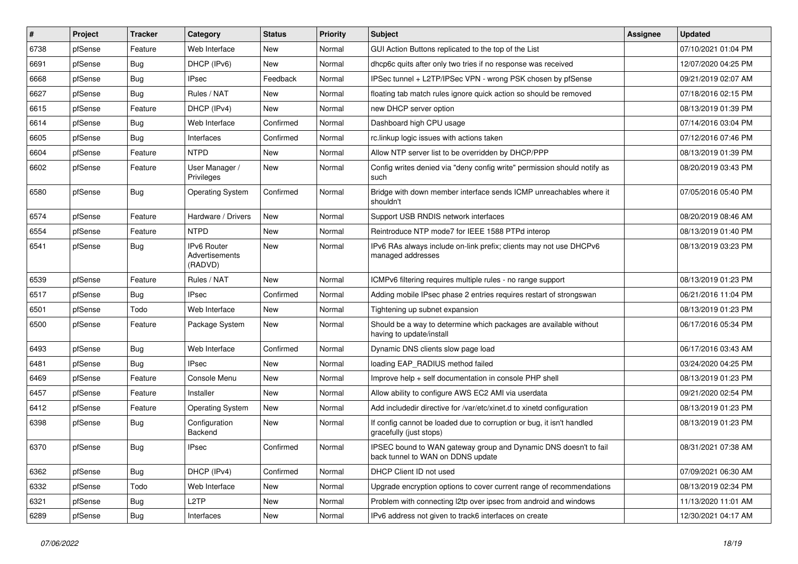| $\vert$ # | Project | <b>Tracker</b> | Category                                 | <b>Status</b> | <b>Priority</b> | Subject                                                                                               | <b>Assignee</b> | <b>Updated</b>      |
|-----------|---------|----------------|------------------------------------------|---------------|-----------------|-------------------------------------------------------------------------------------------------------|-----------------|---------------------|
| 6738      | pfSense | Feature        | Web Interface                            | New           | Normal          | GUI Action Buttons replicated to the top of the List                                                  |                 | 07/10/2021 01:04 PM |
| 6691      | pfSense | Bug            | DHCP (IPv6)                              | New           | Normal          | dhcp6c quits after only two tries if no response was received                                         |                 | 12/07/2020 04:25 PM |
| 6668      | pfSense | Bug            | <b>IPsec</b>                             | Feedback      | Normal          | IPSec tunnel + L2TP/IPSec VPN - wrong PSK chosen by pfSense                                           |                 | 09/21/2019 02:07 AM |
| 6627      | pfSense | Bug            | Rules / NAT                              | New           | Normal          | floating tab match rules ignore quick action so should be removed                                     |                 | 07/18/2016 02:15 PM |
| 6615      | pfSense | Feature        | DHCP (IPv4)                              | New           | Normal          | new DHCP server option                                                                                |                 | 08/13/2019 01:39 PM |
| 6614      | pfSense | Bug            | Web Interface                            | Confirmed     | Normal          | Dashboard high CPU usage                                                                              |                 | 07/14/2016 03:04 PM |
| 6605      | pfSense | Bug            | Interfaces                               | Confirmed     | Normal          | rc.linkup logic issues with actions taken                                                             |                 | 07/12/2016 07:46 PM |
| 6604      | pfSense | Feature        | <b>NTPD</b>                              | New           | Normal          | Allow NTP server list to be overridden by DHCP/PPP                                                    |                 | 08/13/2019 01:39 PM |
| 6602      | pfSense | Feature        | User Manager /<br>Privileges             | New           | Normal          | Config writes denied via "deny config write" permission should notify as<br>such                      |                 | 08/20/2019 03:43 PM |
| 6580      | pfSense | Bug            | <b>Operating System</b>                  | Confirmed     | Normal          | Bridge with down member interface sends ICMP unreachables where it<br>shouldn't                       |                 | 07/05/2016 05:40 PM |
| 6574      | pfSense | Feature        | Hardware / Drivers                       | New           | Normal          | Support USB RNDIS network interfaces                                                                  |                 | 08/20/2019 08:46 AM |
| 6554      | pfSense | Feature        | <b>NTPD</b>                              | New           | Normal          | Reintroduce NTP mode7 for IEEE 1588 PTPd interop                                                      |                 | 08/13/2019 01:40 PM |
| 6541      | pfSense | <b>Bug</b>     | IPv6 Router<br>Advertisements<br>(RADVD) | New           | Normal          | IPv6 RAs always include on-link prefix; clients may not use DHCPv6<br>managed addresses               |                 | 08/13/2019 03:23 PM |
| 6539      | pfSense | Feature        | Rules / NAT                              | <b>New</b>    | Normal          | ICMPv6 filtering requires multiple rules - no range support                                           |                 | 08/13/2019 01:23 PM |
| 6517      | pfSense | Bug            | <b>IPsec</b>                             | Confirmed     | Normal          | Adding mobile IPsec phase 2 entries requires restart of strongswan                                    |                 | 06/21/2016 11:04 PM |
| 6501      | pfSense | Todo           | Web Interface                            | New           | Normal          | Tightening up subnet expansion                                                                        |                 | 08/13/2019 01:23 PM |
| 6500      | pfSense | Feature        | Package System                           | New           | Normal          | Should be a way to determine which packages are available without<br>having to update/install         |                 | 06/17/2016 05:34 PM |
| 6493      | pfSense | Bug            | Web Interface                            | Confirmed     | Normal          | Dynamic DNS clients slow page load                                                                    |                 | 06/17/2016 03:43 AM |
| 6481      | pfSense | Bug            | <b>IPsec</b>                             | New           | Normal          | loading EAP_RADIUS method failed                                                                      |                 | 03/24/2020 04:25 PM |
| 6469      | pfSense | Feature        | Console Menu                             | New           | Normal          | Improve help + self documentation in console PHP shell                                                |                 | 08/13/2019 01:23 PM |
| 6457      | pfSense | Feature        | Installer                                | New           | Normal          | Allow ability to configure AWS EC2 AMI via userdata                                                   |                 | 09/21/2020 02:54 PM |
| 6412      | pfSense | Feature        | <b>Operating System</b>                  | New           | Normal          | Add includedir directive for /var/etc/xinet.d to xinetd configuration                                 |                 | 08/13/2019 01:23 PM |
| 6398      | pfSense | Bug            | Configuration<br>Backend                 | New           | Normal          | If config cannot be loaded due to corruption or bug, it isn't handled<br>gracefully (just stops)      |                 | 08/13/2019 01:23 PM |
| 6370      | pfSense | <b>Bug</b>     | <b>IPsec</b>                             | Confirmed     | Normal          | IPSEC bound to WAN gateway group and Dynamic DNS doesn't to fail<br>back tunnel to WAN on DDNS update |                 | 08/31/2021 07:38 AM |
| 6362      | pfSense | <b>Bug</b>     | DHCP (IPv4)                              | Confirmed     | Normal          | DHCP Client ID not used                                                                               |                 | 07/09/2021 06:30 AM |
| 6332      | pfSense | Todo           | Web Interface                            | New           | Normal          | Upgrade encryption options to cover current range of recommendations                                  |                 | 08/13/2019 02:34 PM |
| 6321      | pfSense | Bug            | L <sub>2</sub> TP                        | New           | Normal          | Problem with connecting I2tp over ipsec from android and windows                                      |                 | 11/13/2020 11:01 AM |
| 6289      | pfSense | <b>Bug</b>     | Interfaces                               | New           | Normal          | IPv6 address not given to track6 interfaces on create                                                 |                 | 12/30/2021 04:17 AM |